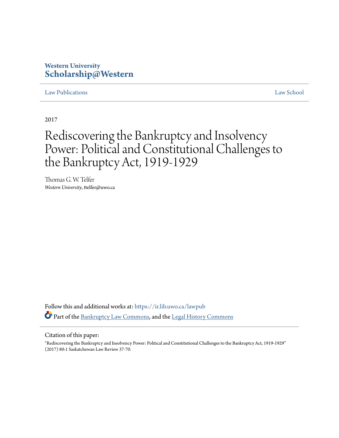### **Western University [Scholarship@Western](https://ir.lib.uwo.ca?utm_source=ir.lib.uwo.ca%2Flawpub%2F217&utm_medium=PDF&utm_campaign=PDFCoverPages)**

#### [Law Publications](https://ir.lib.uwo.ca/lawpub?utm_source=ir.lib.uwo.ca%2Flawpub%2F217&utm_medium=PDF&utm_campaign=PDFCoverPages) [Law School](https://ir.lib.uwo.ca/law?utm_source=ir.lib.uwo.ca%2Flawpub%2F217&utm_medium=PDF&utm_campaign=PDFCoverPages)

2017

# Rediscovering the Bankruptcy and Insolvency Power: Political and Constitutional Challenges to the Bankruptcy Act, 1919-1929

Thomas G. W. Telfer *Western University*, ttelfer@uwo.ca

Follow this and additional works at: [https://ir.lib.uwo.ca/lawpub](https://ir.lib.uwo.ca/lawpub?utm_source=ir.lib.uwo.ca%2Flawpub%2F217&utm_medium=PDF&utm_campaign=PDFCoverPages) Part of the [Bankruptcy Law Commons,](http://network.bepress.com/hgg/discipline/583?utm_source=ir.lib.uwo.ca%2Flawpub%2F217&utm_medium=PDF&utm_campaign=PDFCoverPages) and the [Legal History Commons](http://network.bepress.com/hgg/discipline/904?utm_source=ir.lib.uwo.ca%2Flawpub%2F217&utm_medium=PDF&utm_campaign=PDFCoverPages)

#### Citation of this paper:

"Rediscovering the Bankruptcy and Insolvency Power: Political and Constitutional Challenges to the Bankruptcy Act, 1919-1929" (2017) 80:1 Saskatchewan Law Review 37-70.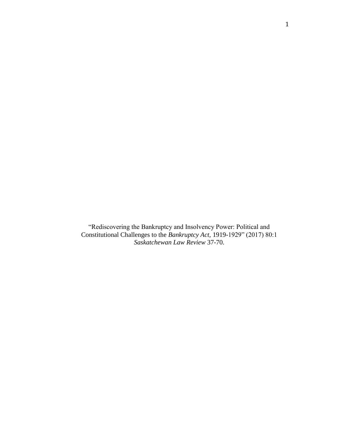"Rediscovering the Bankruptcy and Insolvency Power: Political and Constitutional Challenges to the *Bankruptcy Act,* 1919-1929" (2017) 80:1 *Saskatchewan Law Review* 37-70.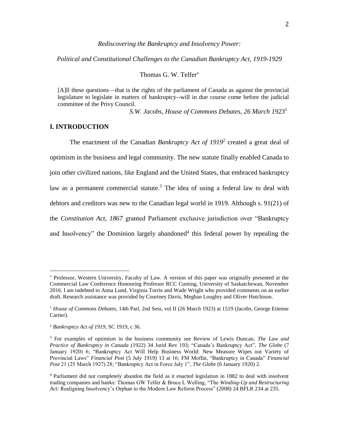#### *Rediscovering the Bankruptcy and Insolvency Power:*

*Political and Constitutional Challenges to the Canadian Bankruptcy Act, 1919-1929*

Thomas G. W. Telfer

[A]ll these questions—that is the rights of the parliament of Canada as against the provincial legislature to legislate in matters of bankruptcy--will in due course come before the judicial committee of the Privy Council.

*S.W. Jacobs, House of Commons Debates, 26 March 1923*<sup>1</sup>

#### **I. INTRODUCTION**

The enactment of the Canadian *Bankruptcy Act of 1919*<sup>2</sup> created a great deal of optimism in the business and legal community. The new statute finally enabled Canada to join other civilized nations, like England and the United States, that embraced bankruptcy law as a permanent commercial statute.<sup>3</sup> The idea of using a federal law to deal with debtors and creditors was new to the Canadian legal world in 1919. Although s. 91(21) of the *Constitution Act, 1867* granted Parliament exclusive jurisdiction over "Bankruptcy and Insolvency" the Dominion largely abandoned $4$  this federal power by repealing the

Professor, Western University, Faculty of Law. A version of this paper was originally presented at the Commercial Law Conference Honouring Professor RCC Cuming, University of Saskatchewan, November 2016. I am indebted to Anna Lund, Virginia Torrie and Wade Wright who provided comments on an earlier draft. Research assistance was provided by Courtney Davis, Meghan Loughry and Oliver Hutchison.

<sup>1</sup> *House of Commons Debates*, 14th Parl, 2nd Sess, vol II (26 March 1923) at 1519 (Jacobs, George Etienne Cartier).

<sup>2</sup> *Bankruptcy Act of 1919*, SC 1919, c 36.

<sup>3</sup> For examples of optimism in the business community see Review of Lewis Duncan, *The Law and Practice of Bankruptcy in Canada* (1922) 34 Jurid Rev 193; "Canada's Bankruptcy Act", *The Globe* (7 January 1920) 6; "Bankruptcy Act Will Help Business World: New Measure Wipes out Variety of Provincial Laws" *Financial Post* (5 July 1919) 13 at 16; FM Moffat, "Bankruptcy in Canada" *Financial Post* 21 (25 March 1927) 28; "Bankruptcy Act in Force July 1", *The Globe* (6 January 1920) 2.

<sup>4</sup> Parliament did not completely abandon the field as it enacted legislation in 1882 to deal with insolvent trading companies and banks: Thomas GW Telfer & Bruce L Welling, "The *Winding-Up and Restructuring Act:* Realigning Insolvency's Orphan to the Modern Law Reform Process" (2008) 24 BFLR 234 at 235.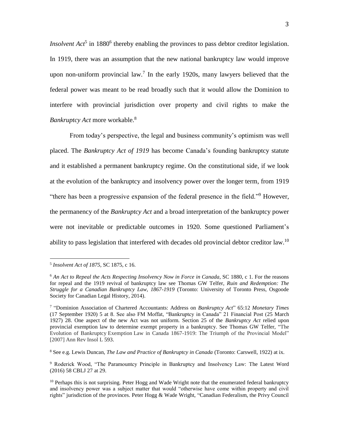*Insolvent Act*<sup>5</sup> in 1880<sup>6</sup> thereby enabling the provinces to pass debtor creditor legislation. In 1919, there was an assumption that the new national bankruptcy law would improve upon non-uniform provincial law.<sup>7</sup> In the early 1920s, many lawyers believed that the federal power was meant to be read broadly such that it would allow the Dominion to interfere with provincial jurisdiction over property and civil rights to make the *Bankruptcy Act* more workable.<sup>8</sup>

From today's perspective, the legal and business community's optimism was well placed. The *Bankruptcy Act of 1919* has become Canada's founding bankruptcy statute and it established a permanent bankruptcy regime. On the constitutional side, if we look at the evolution of the bankruptcy and insolvency power over the longer term, from 1919 "there has been a progressive expansion of the federal presence in the field."<sup>9</sup> However, the permanency of the *Bankruptcy Act* and a broad interpretation of the bankruptcy power were not inevitable or predictable outcomes in 1920. Some questioned Parliament's ability to pass legislation that interfered with decades old provincial debtor creditor law.<sup>10</sup>

<sup>5</sup> *Insolvent Act of 1875,* SC 1875, c 16.

<sup>6</sup> *An Act to Repeal the Acts Respecting Insolvency Now in Force in Canada*, SC 1880, c 1. For the reasons for repeal and the 1919 revival of bankruptcy law see Thomas GW Telfer, *Ruin and Redemption: The Struggle for a Canadian Bankruptcy Law, 1867-1919* (Toronto: University of Toronto Press, Osgoode Society for Canadian Legal History, 2014).

<sup>7</sup> "Dominion Association of Chartered Accountants: Address on *Bankruptcy Act*" 65:12 *Monetary Times* (17 September 1920) 5 at 8. See also FM Moffat, "Bankruptcy in Canada" 21 Financial Post (25 March 1927) 28. One aspect of the new Act was not uniform. Section 25 of the *Bankruptcy Act* relied upon provincial exemption law to determine exempt property in a bankruptcy. See Thomas GW Telfer, "The Evolution of Bankruptcy Exemption Law in Canada 1867-1919: The Triumph of the Provincial Model" [2007] Ann Rev Insol L 593.

<sup>8</sup> See e.g. Lewis Duncan, *The Law and Practice of Bankruptcy in Canada* (Toronto: Carswell, 1922) at ix.

<sup>9</sup> Roderick Wood, "The Paramountcy Principle in Bankruptcy and Insolvency Law: The Latest Word (2016) 58 CBLJ 27 at 29.

<sup>&</sup>lt;sup>10</sup> Perhaps this is not surprising. Peter Hogg and Wade Wright note that the enumerated federal bankruptcy and insolvency power was a subject matter that would "otherwise have come within property and civil rights" jurisdiction of the provinces. Peter Hogg & Wade Wright, "Canadian Federalism, the Privy Council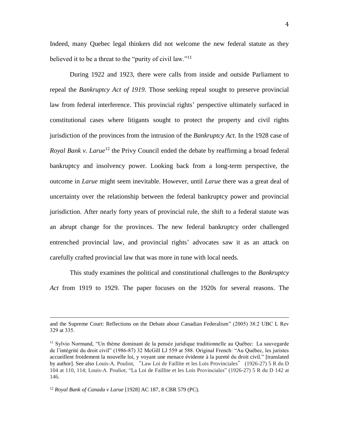Indeed, many Quebec legal thinkers did not welcome the new federal statute as they believed it to be a threat to the "purity of civil law."<sup>11</sup>

During 1922 and 1923, there were calls from inside and outside Parliament to repeal the *Bankruptcy Act of 1919*. Those seeking repeal sought to preserve provincial law from federal interference. This provincial rights' perspective ultimately surfaced in constitutional cases where litigants sought to protect the property and civil rights jurisdiction of the provinces from the intrusion of the *Bankruptcy Act*. In the 1928 case of *Royal Bank v. Larue*<sup>12</sup> the Privy Council ended the debate by reaffirming a broad federal bankruptcy and insolvency power. Looking back from a long-term perspective, the outcome in *Larue* might seem inevitable. However, until *Larue* there was a great deal of uncertainty over the relationship between the federal bankruptcy power and provincial jurisdiction. After nearly forty years of provincial rule, the shift to a federal statute was an abrupt change for the provinces. The new federal bankruptcy order challenged entrenched provincial law, and provincial rights' advocates saw it as an attack on carefully crafted provincial law that was more in tune with local needs.

This study examines the political and constitutional challenges to the *Bankruptcy Act* from 1919 to 1929. The paper focuses on the 1920s for several reasons. The

and the Supreme Court: Reflections on the Debate about Canadian Federalism" (2005) 38:2 UBC L Rev 329 at 335.

<sup>&</sup>lt;sup>11</sup> Sylvio Normand, "Un thème dominant de la pensée juridique traditionnelle au Québec: La sauvegarde de l'intégrité du droit civil" (1986-87) 32 McGill LJ 559 at 588. Original French: "Au Québec, les juristes accueillent froidement la nouvelle loi, y voyant une menace évidente à la pureté du droit civil." [translated by author]. See also Louis-A. Pouliot, "Law Loi de Faillite et les Lois Provinciales" (1926-27) 5 R du D 104 at 110, 114; Louis-A. Pouliot, "La Loi de Faillite et les Lois Provinciales" (1926-27) 5 R du D 142 at 146.

<sup>12</sup> *Royal Bank of Canada v Larue* [1928] AC 187, 8 CBR 579 (PC).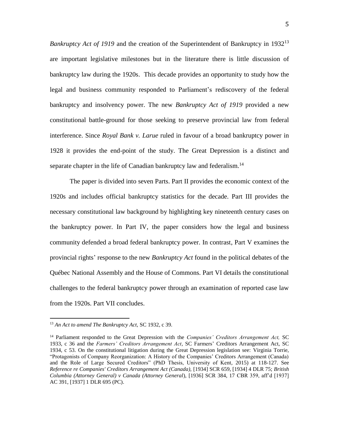*Bankruptcy Act of 1919* and the creation of the Superintendent of Bankruptcy in 1932<sup>13</sup> are important legislative milestones but in the literature there is little discussion of bankruptcy law during the 1920s. This decade provides an opportunity to study how the legal and business community responded to Parliament's rediscovery of the federal bankruptcy and insolvency power. The new *Bankruptcy Act of 1919* provided a new constitutional battle-ground for those seeking to preserve provincial law from federal interference. Since *Royal Bank v. Larue* ruled in favour of a broad bankruptcy power in 1928 it provides the end-point of the study. The Great Depression is a distinct and separate chapter in the life of Canadian bankruptcy law and federalism.<sup>14</sup>

The paper is divided into seven Parts. Part II provides the economic context of the 1920s and includes official bankruptcy statistics for the decade. Part III provides the necessary constitutional law background by highlighting key nineteenth century cases on the bankruptcy power. In Part IV, the paper considers how the legal and business community defended a broad federal bankruptcy power. In contrast, Part V examines the provincial rights' response to the new *Bankruptcy Act* found in the political debates of the Québec National Assembly and the House of Commons. Part VI details the constitutional challenges to the federal bankruptcy power through an examination of reported case law from the 1920s. Part VII concludes.

<sup>13</sup> *An Act to amend The Bankruptcy Act,* SC 1932, c 39.

<sup>14</sup> Parliament responded to the Great Depression with the *Companies' Creditors Arrangement Act,* SC 1933, c 36 and the *Farmers' Creditors Arrangement Act*, SC Farmers' Creditors Arrangement Act, SC 1934, c 53. On the constitutional litigation during the Great Depression legislation see: Virginia Torrie, "Protagonists of Company Reorganization: A History of the Companies' Creditors Arrangement (Canada) and the Role of Large Secured Creditors" (PhD Thesis, University of Kent*,* 2015) at 118-127. See *Reference re Companies' Creditors Arrangement Act (Canada),* [1934] SCR 659, [1934] 4 DLR 75; *British Columbia (Attorney General) v Canada (Attorney General*), [1936] SCR 384, 17 CBR 359, aff'd [1937] AC 391, [1937] 1 DLR 695 (PC).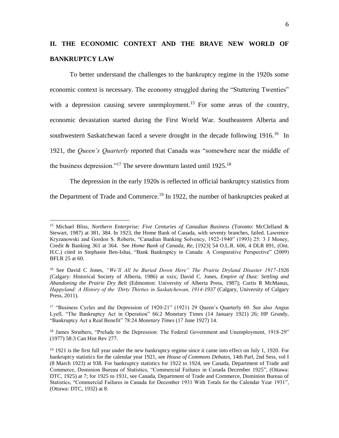## **II. THE ECONOMIC CONTEXT AND THE BRAVE NEW WORLD OF BANKRUPTCY LAW**

To better understand the challenges to the bankruptcy regime in the 1920s some economic context is necessary. The economy struggled during the "Stuttering Twenties" with a depression causing severe unemployment.<sup>15</sup> For some areas of the country, economic devastation started during the First World War. Southeastern Alberta and southwestern Saskatchewan faced a severe drought in the decade following  $1916$ <sup>16</sup> In 1921, the *Queen's Quarterly* reported that Canada was "somewhere near the middle of the business depression."<sup>17</sup> The severe downturn lasted until  $1925$ .<sup>18</sup>

The depression in the early 1920s is reflected in official bankruptcy statistics from

the Department of Trade and Commerce.<sup>19</sup> In 1922, the number of bankruptcies peaked at

<sup>15</sup> Michael Bliss, *Northern Enterprise: Five Centuries of Canadian Business* (Toronto: McClelland & Stewart, 1987) at 381, 384. In 1923, the Home Bank of Canada, with seventy branches, failed. Lawrence Kryzanowski and Gordon S. Roberts, "Canadian Banking Solvency, 1922-1940" (1993) 25: 3 J Money, Credit & Banking 361 at 364. See *Home Bank of Canada, Re*, [1923] 54 O.L.R. 606, 4 DLR 891, (Ont. H.C.) cited in Stephanie Ben-Ishai, "Bank Bankruptcy in Canada: A Comparative Perspective" (2009) BFLR 25 at 60.

<sup>16</sup> See David C Jones, *"We'll All be Buried Down Here" The Prairie Dryland Disaster 1917-1926* (Calgary: Historical Society of Alberta, 1986) at xxix; David C. Jones, *Empire of Dust: Settling and Abandoning the Prairie Dry Belt* (Edmonton: University of Alberta Press, 1987); Curtis R McManus, *Happyland: A History of the 'Dirty Thirties in Saskatchewan, 1914-1937* (Calgary, University of Calgary Press, 2011).

<sup>&</sup>lt;sup>17</sup> "Business Cycles and the Depression of 1920-21" (1921) 29 Queen's Quarterly 60. See also Angus Lyell, "The Bankruptcy Act in Operation" 66:2 Monetary Times (14 January 1921) 26; HP Grundy, "Bankruptcy Act a Real Benefit" 78:24 *Monetary Times* (17 June 1927) 14.

<sup>&</sup>lt;sup>18</sup> James Struthers, "Prelude to the Depression: The Federal Government and Unemployment, 1918-29" (1977) 58:3 Can Hist Rev 277.

<sup>19</sup> 1921 is the first full year under the new bankruptcy regime since it came into effect on July 1, 1920. For bankruptcy statistics for the calendar year 1921, see *House of Commons Debates*, 14th Parl, 2nd Sess, vol I (8 March 1923) at 938. For bankruptcy statistics for 1922 to 1924, see Canada, Department of Trade and Commerce, Dominion Bureau of Statistics, "Commercial Failures in Canada December 1925", (Ottawa: DTC, 1925) at 7; for 1925 to 1931, see Canada, Department of Trade and Commerce, Dominion Bureau of Statistics, "Commercial Failures in Canada for December 1931 With Totals for the Calendar Year 1931", (Ottawa: DTC, 1932) at 8.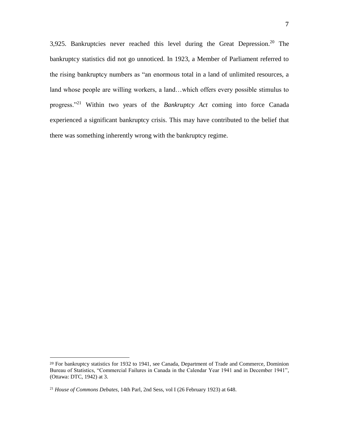3,925. Bankruptcies never reached this level during the Great Depression.<sup>20</sup> The bankruptcy statistics did not go unnoticed. In 1923, a Member of Parliament referred to the rising bankruptcy numbers as "an enormous total in a land of unlimited resources, a land whose people are willing workers, a land…which offers every possible stimulus to progress."<sup>21</sup> Within two years of the *Bankruptcy Act* coming into force Canada experienced a significant bankruptcy crisis. This may have contributed to the belief that there was something inherently wrong with the bankruptcy regime.

<sup>&</sup>lt;sup>20</sup> For bankruptcy statistics for 1932 to 1941, see Canada, Department of Trade and Commerce, Dominion Bureau of Statistics, "Commercial Failures in Canada in the Calendar Year 1941 and in December 1941", (Ottawa: DTC, 1942) at 3.

<sup>21</sup> *House of Commons Debates*, 14th Parl, 2nd Sess, vol I (26 February 1923) at 648.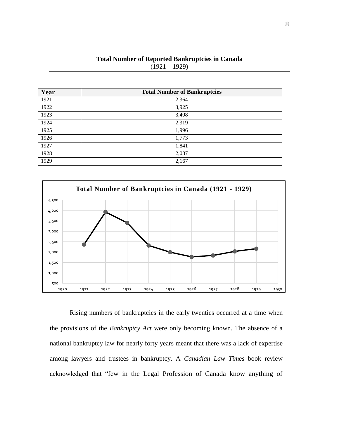| Year | <b>Total Number of Bankruptcies</b> |
|------|-------------------------------------|
| 1921 | 2,364                               |
| 1922 | 3,925                               |
| 1923 | 3,408                               |
| 1924 | 2,319                               |
| 1925 | 1,996                               |
| 1926 | 1,773                               |
| 1927 | 1,841                               |
| 1928 | 2,037                               |
| 1929 | 2,167                               |

**Total Number of Reported Bankruptcies in Canada**  $(1921 - 1929)$ 



Rising numbers of bankruptcies in the early twenties occurred at a time when the provisions of the *Bankruptcy Act* were only becoming known. The absence of a national bankruptcy law for nearly forty years meant that there was a lack of expertise among lawyers and trustees in bankruptcy. A *Canadian Law Times* book review acknowledged that "few in the Legal Profession of Canada know anything of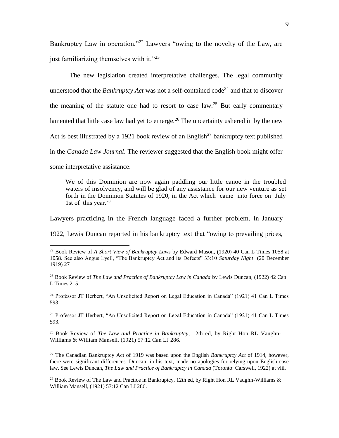Bankruptcy Law in operation."<sup>22</sup> Lawyers "owing to the novelty of the Law, are just familiarizing themselves with it."<sup>23</sup>

The new legislation created interpretative challenges. The legal community understood that the *Bankruptcy Act* was not a self-contained code<sup>24</sup> and that to discover the meaning of the statute one had to resort to case  $law<sup>25</sup>$  But early commentary lamented that little case law had yet to emerge.<sup>26</sup> The uncertainty ushered in by the new Act is best illustrated by a 1921 book review of an English<sup>27</sup> bankruptcy text published in the *Canada Law Journal*. The reviewer suggested that the English book might offer some interpretative assistance:

We of this Dominion are now again paddling our little canoe in the troubled waters of insolvency, and will be glad of any assistance for our new venture as set forth in the Dominion Statutes of 1920, in the Act which came into force on July 1st of this year.<sup>28</sup>

Lawyers practicing in the French language faced a further problem. In January

1922, Lewis Duncan reported in his bankruptcy text that "owing to prevailing prices,

 $\overline{a}$ 

<sup>24</sup> Professor JT Herbert, "An Unsolicited Report on Legal Education in Canada" (1921) 41 Can L Times 593.

<sup>25</sup> Professor JT Herbert, "An Unsolicited Report on Legal Education in Canada" (1921) 41 Can L Times 593.

<sup>26</sup> Book Review of *The Law and Practice in Bankruptcy,* 12th ed, by Right Hon RL Vaughn-Williams & William Mansell, (1921) 57:12 Can LJ 286.

<sup>27</sup> The Canadian Bankruptcy Act of 1919 was based upon the English *Bankruptcy Act* of 1914, however, there were significant differences. Duncan, in his text, made no apologies for relying upon English case law. See Lewis Duncan, *The Law and Practice of Bankruptcy in Canada* (Toronto: Carswell, 1922) at viii.

<sup>28</sup> Book Review of The Law and Practice in Bankruptcy, 12th ed, by Right Hon RL Vaughn-Williams  $\&$ William Mansell, (1921) 57:12 Can LJ 286.

<sup>22</sup> Book Review of *A Short View of Bankruptcy Laws* by Edward Mason, (1920) 40 Can L Times 1058 at 1058. See also Angus Lyell, "The Bankruptcy Act and its Defects" 33:10 *Saturday Night* (20 December 1919) 27

<sup>23</sup> Book Review of *The Law and Practice of Bankruptcy Law in Canada* by Lewis Duncan, (1922) 42 Can L Times 215.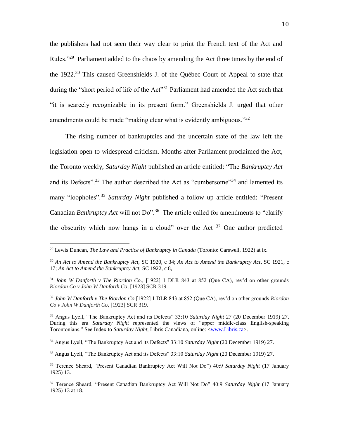the publishers had not seen their way clear to print the French text of the Act and Rules."<sup>29</sup> Parliament added to the chaos by amending the Act three times by the end of the 1922.<sup>30</sup> This caused Greenshields J. of the Québec Court of Appeal to state that during the "short period of life of the Act"<sup>31</sup> Parliament had amended the Act such that "it is scarcely recognizable in its present form." Greenshields J. urged that other amendments could be made "making clear what is evidently ambiguous."<sup>32</sup>

The rising number of bankruptcies and the uncertain state of the law left the legislation open to widespread criticism. Months after Parliament proclaimed the Act, the Toronto weekly, *Saturday Night* published an article entitled: "The *Bankruptcy Act* and its Defects".<sup>33</sup> The author described the Act as "cumbersome"<sup>34</sup> and lamented its many "loopholes".<sup>35</sup> *Saturday Night* published a follow up article entitled: "Present Canadian *Bankruptcy Act* will not Do".<sup>36</sup> The article called for amendments to "clarify the obscurity which now hangs in a cloud" over the Act  $37$  One author predicted

<sup>29</sup> Lewis Duncan, *The Law and Practice of Bankruptcy in Canada* (Toronto: Carswell, 1922) at ix.

<sup>30</sup> *An Act to Amend the Bankruptcy Act,* SC 1920, c 34; *An Act to Amend the Bankruptcy Act*, SC 1921, c 17; *An Act to Amend the Bankruptcy Act,* SC 1922, c 8,

<sup>31</sup> *John W Danforth v The Riordon Co.,* [1922] 1 DLR 843 at 852 (Que CA), rev'd on other grounds *Riordon Co v John W Danforth Co,* [1923] SCR 319.

<sup>32</sup> *John W Danforth v The Riordon Co* [1922] 1 DLR 843 at 852 (Que CA), rev'd on other grounds *Riordon Co v John W Danforth Co,* [1923] SCR 319.

<sup>33</sup> Angus Lyell, "The Bankruptcy Act and its Defects" 33:10 *Saturday Night* 27 (20 December 1919) 27. During this era *Saturday Night* represented the views of "upper middle-class English-speaking Torontonians." See Index to *Saturday Night,* Libris Canadiana, online: [<www.Libris.ca>](http://www.libris.ca/).

<sup>34</sup> Angus Lyell, "The Bankruptcy Act and its Defects" 33:10 *Saturday Night* (20 December 1919) 27.

<sup>35</sup> Angus Lyell, "The Bankruptcy Act and its Defects" 33:10 *Saturday Night* (20 December 1919) 27.

<sup>36</sup> Terence Sheard, "Present Canadian Bankruptcy Act Will Not Do") 40:9 *Saturday Night* (17 January 1925) 13.

<sup>37</sup> Terence Sheard, "Present Canadian Bankruptcy Act Will Not Do" 40:9 *Saturday Night* (17 January 1925) 13 at 18.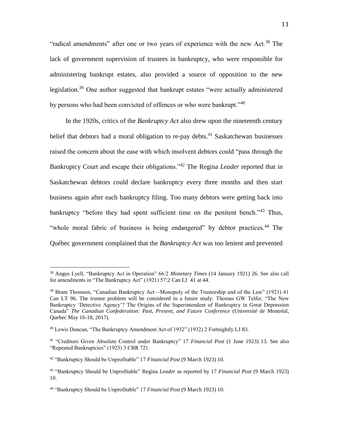"radical amendments" after one or two years of experience with the new Act.<sup>38</sup> The lack of government supervision of trustees in bankruptcy, who were responsible for administering bankrupt estates, also provided a source of opposition to the new legislation.<sup>39</sup> One author suggested that bankrupt estates "were actually administered by persons who had been convicted of offences or who were bankrupt."<sup>40</sup>

In the 1920s, critics of the *Bankruptcy Act* also drew upon the nineteenth century belief that debtors had a moral obligation to re-pay debts.<sup>41</sup> Saskatchewan businesses raised the concern about the ease with which insolvent debtors could "pass through the Bankruptcy Court and escape their obligations."<sup>42</sup> The Regina *Leader* reported that in Saskatchewan debtors could declare bankruptcy every three months and then start business again after each bankruptcy filing. Too many debtors were getting back into bankruptcy "before they had spent sufficient time on the penitent bench."<sup>43</sup> Thus, "whole moral fabric of business is being endangered" by debtor practices.<sup>44</sup> The Québec government complained that the *Bankruptcy Act* was too lenient and prevented

<sup>38</sup> Angus Lyell, "Bankruptcy Act in Operation" 66:2 *Monetary Times* (14 January 1921) 26. See also call for amendments in "The Bankruptcy Act" (1921) 57:2 Can LJ 41 at 44.

<sup>&</sup>lt;sup>39</sup> Bram Thomson, "Canadian Bankruptcy Act—Monopoly of the Trusteeship and of the Law" (1921) 41 Can LT 96. The trustee problem will be considered in a future study: Thomas GW Telfer, "The New Bankruptcy 'Detective Agency'? The Origins of the Superintendent of Bankruptcy in Great Depression Canada" *The Canadian Confederation: Past, Present, and Future Conference* (Université de Montréal, Quebec May 16-18, 2017).

<sup>40</sup> Lewis Duncan, "The Bankruptcy Amendment Act of 1932" (1932) 2 Fortnightly LJ 83.

<sup>41</sup> "Creditors Given Absolute Control under Bankruptcy" 17 *Financial Post* (1 June 1923) 13. See also "Repeated Bankruptcies" (1923) 3 CBR 721.

<sup>42</sup> "Bankruptcy Should be Unprofitable" 17 *Financial Post* (9 March 1923) 10.

<sup>43</sup> "Bankruptcy Should be Unprofitable" Regina *Leader* as reported by 17 *Financial Post* (9 March 1923) 10.

<sup>44</sup> "Bankruptcy Should be Unprofitable" 17 *Financial Post* (9 March 1923) 10.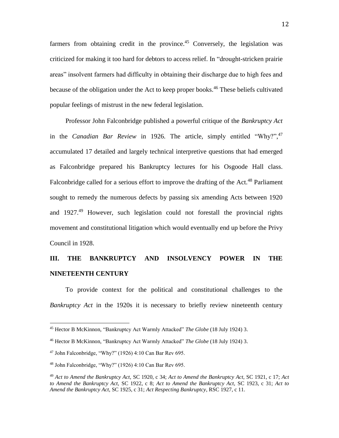farmers from obtaining credit in the province.<sup>45</sup> Conversely, the legislation was criticized for making it too hard for debtors to access relief. In "drought-stricken prairie areas" insolvent farmers had difficulty in obtaining their discharge due to high fees and because of the obligation under the Act to keep proper books.<sup>46</sup> These beliefs cultivated popular feelings of mistrust in the new federal legislation.

Professor John Falconbridge published a powerful critique of the *Bankruptcy Act* in the *Canadian Bar Review* in 1926. The article, simply entitled "Why?",<sup>47</sup> accumulated 17 detailed and largely technical interpretive questions that had emerged as Falconbridge prepared his Bankruptcy lectures for his Osgoode Hall class. Falconbridge called for a serious effort to improve the drafting of the Act.<sup>48</sup> Parliament sought to remedy the numerous defects by passing six amending Acts between 1920 and  $1927<sup>49</sup>$  However, such legislation could not forestall the provincial rights movement and constitutional litigation which would eventually end up before the Privy Council in 1928.

### **III. THE BANKRUPTCY AND INSOLVENCY POWER IN THE NINETEENTH CENTURY**

To provide context for the political and constitutional challenges to the *Bankruptcy Act* in the 1920s it is necessary to briefly review nineteenth century

<sup>45</sup> Hector B McKinnon, "Bankruptcy Act Warmly Attacked" *The Globe* (18 July 1924) 3.

<sup>46</sup> Hector B McKinnon, "Bankruptcy Act Warmly Attacked" *The Globe* (18 July 1924) 3.

 $47$  John Falconbridge, "Why?" (1926) 4:10 Can Bar Rev 695.

<sup>48</sup> John Falconbridge, "Why?" (1926) 4:10 Can Bar Rev 695.

<sup>49</sup> *Act to Amend the Bankruptcy Act,* SC 1920, c 34; *Act to Amend the Bankruptcy Act,* SC 1921, c 17; *Act to Amend the Bankruptcy Act,* SC 1922, c 8; *Act to Amend the Bankruptcy Act,* SC 1923, c 31; *Act to Amend the Bankruptcy Act,* SC 1925, c 31; *Act Respecting Bankruptcy*, RSC 1927, c 11.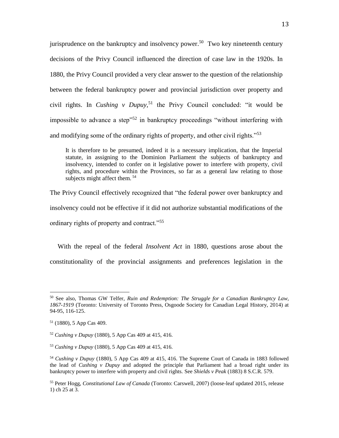jurisprudence on the bankruptcy and insolvency power.<sup>50</sup> Two key nineteenth century decisions of the Privy Council influenced the direction of case law in the 1920s. In 1880, the Privy Council provided a very clear answer to the question of the relationship between the federal bankruptcy power and provincial jurisdiction over property and civil rights. In *Cushing v Dupuy,* <sup>51</sup> the Privy Council concluded: "it would be impossible to advance a step"<sup>52</sup> in bankruptcy proceedings "without interfering with and modifying some of the ordinary rights of property, and other civil rights."<sup>53</sup>

It is therefore to be presumed, indeed it is a necessary implication, that the Imperial statute, in assigning to the Dominion Parliament the subjects of bankruptcy and insolvency, intended to confer on it legislative power to interfere with property, civil rights, and procedure within the Provinces, so far as a general law relating to those subjects might affect them.<sup>54</sup>

The Privy Council effectively recognized that "the federal power over bankruptcy and insolvency could not be effective if it did not authorize substantial modifications of the ordinary rights of property and contract."<sup>55</sup>

With the repeal of the federal *Insolvent Act* in 1880, questions arose about the constitutionality of the provincial assignments and preferences legislation in the

<sup>50</sup> See also, Thomas GW Telfer, *Ruin and Redemption: The Struggle for a Canadian Bankruptcy Law, 1867-1919* (Toronto: University of Toronto Press, Osgoode Society for Canadian Legal History, 2014) at 94-95, 116-125.

<sup>51</sup> (1880), 5 App Cas 409.

<sup>52</sup> *Cushing v Dupuy* (1880), 5 App Cas 409 at 415, 416.

<sup>53</sup> *Cushing v Dupuy* (1880), 5 App Cas 409 at 415, 416.

<sup>54</sup> *Cushing v Dupuy* (1880), 5 App Cas 409 at 415, 416. The Supreme Court of Canada in 1883 followed the lead of *Cushing v Dupuy* and adopted the principle that Parliament had a broad right under its bankruptcy power to interfere with property and civil rights. See *Shields v Peak* (1883) 8 S.C.R. 579.

<sup>55</sup> Peter Hogg, *Constitutional Law of Canada* (Toronto: Carswell, 2007) (loose-leaf updated 2015, release 1) ch 25 at 3.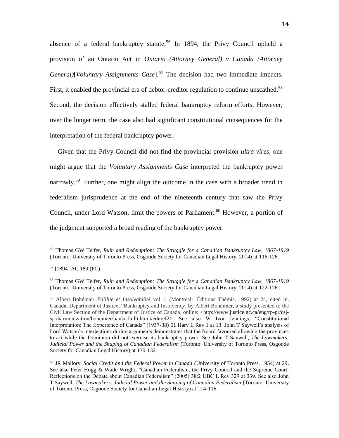absence of a federal bankruptcy statute.<sup>56</sup> In 1894, the Privy Council upheld a provision of an Ontario Act in *Ontario (Attorney General) v Canada (Attorney General)*[*Voluntary Assignments Case*]. *<sup>57</sup>* The decision had two immediate impacts. First, it enabled the provincial era of debtor-creditor regulation to continue unscathed.<sup>58</sup> Second, the decision effectively stalled federal bankruptcy reform efforts. However, over the longer term, the case also had significant constitutional consequences for the interpretation of the federal bankruptcy power.

Given that the Privy Council did not find the provincial provision *ultra vires*, one might argue that the *Voluntary Assignments Case* interpreted the bankruptcy power narrowly.<sup>59</sup> Further, one might align the outcome in the case with a broader trend in federalism jurisprudence at the end of the nineteenth century that saw the Privy Council, under Lord Watson, limit the powers of Parliament. <sup>60</sup> However, a portion of the judgment supported a broad reading of the bankruptcy power.

<sup>56</sup> Thomas GW Telfer, *Ruin and Redemption: The Struggle for a Canadian Bankruptcy Law, 1867-1919*  (Toronto: University of Toronto Press, Osgoode Society for Canadian Legal History, 2014) at 116-126.

<sup>57</sup> [1894] AC 189 (PC).

<sup>58</sup> Thomas GW Telfer, *Ruin and Redemption: The Struggle for a Canadian Bankruptcy Law, 1867-1919*  (Toronto: University of Toronto Press, Osgoode Society for Canadian Legal History, 2014) at 122-126.

<sup>59</sup> Albert Bohémier, *Faillite et Insolvabilité,* vol 1, (Montreal: Éditions Thémis, 1992) at 24, cited in, Canada, Department of Justice, "Bankruptcy and Insolvency, by Albert Bohémier, a study presented to the Civil Law Section of the Department of Justice of Canada, online: <http://www.justice.gc.ca/eng/rp-pr/csjsjc/harmonization/bohemier/bankr-failli.html#ednref2>. See also W Ivor Jennings, "Constitutional Interpretation: The Experience of Canada" (1937-38) 51 Harv L Rev 1 at 13. John T Saywell's analysis of Lord Watson's interjections during arguments demonstrates that the Board favoured allowing the provinces to act while the Dominion did not exercise its bankruptcy power. See John T Saywell, *The Lawmakers: Judicial Power and the Shaping of Canadian Federalism* (Toronto: University of Toronto Press, Osgoode Society for Canadian Legal History) at 130-132.

<sup>60</sup> JR Mallory, *Social Credit and the Federal Power in Canada* (University of Toronto Press, 1954) at 29. See also Peter Hogg & Wade Wright, "Canadian Federalism, the Privy Council and the Supreme Court: Reflections on the Debate about Canadian Federalism" (2005) 38:2 UBC L Rev 329 at 339. See also John T Saywell, *The Lawmakers: Judicial Power and the Shaping of Canadian Federalism* (Toronto: University of Toronto Press, Osgoode Society for Canadian Legal History) at 114-116.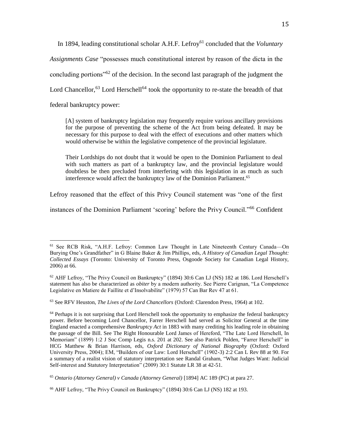In 1894, leading constitutional scholar A.H.F. Lefroy<sup>61</sup> concluded that the *Voluntary Assignments Case* "possesses much constitutional interest by reason of the dicta in the concluding portions<sup>"62</sup> of the decision. In the second last paragraph of the judgment the Lord Chancellor,  $63$  Lord Herschell<sup>64</sup> took the opportunity to re-state the breadth of that federal bankruptcy power:

[A] system of bankruptcy legislation may frequently require various ancillary provisions for the purpose of preventing the scheme of the Act from being defeated. It may be necessary for this purpose to deal with the effect of executions and other matters which would otherwise be within the legislative competence of the provincial legislature.

Their Lordships do not doubt that it would be open to the Dominion Parliament to deal with such matters as part of a bankruptcy law, and the provincial legislature would doubtless be then precluded from interfering with this legislation in as much as such interference would affect the bankruptcy law of the Dominion Parliament.<sup>65</sup>

Lefroy reasoned that the effect of this Privy Council statement was "one of the first

instances of the Dominion Parliament 'scoring' before the Privy Council."<sup>66</sup> Confident

<sup>61</sup> See RCB Risk, "A.H.F. Lefroy: Common Law Thought in Late Nineteenth Century Canada—On Burying One's Grandfather" in G Blaine Baker & Jim Phillips, eds, *A History of Canadian Legal Thought: Collected Essays* (Toronto: University of Toronto Press, Osgoode Society for Canadian Legal History, 2006) at 66.

 $62$  AHF Lefroy, "The Privy Council on Bankruptcy" (1894) 30:6 Can LJ (NS) 182 at 186. Lord Herschell's statement has also be characterized as *obiter* by a modern authority. See Pierre Carignan, "La Competence Legislative en Matiere de Faillite et d'Insolvabilite" (1979) 57 Can Bar Rev 47 at 61.

<sup>63</sup> See RFV Heuston, *The Lives of the Lord Chancellors* (Oxford: Clarendon Press, 1964) at 102.

<sup>&</sup>lt;sup>64</sup> Perhaps it is not surprising that Lord Herschell took the opportunity to emphasize the federal bankruptcy power. Before becoming Lord Chancellor, Farrer Herschell had served as Solicitor General at the time England enacted a comprehensive *Bankruptcy Act* in 1883 with many crediting his leading role in obtaining the passage of the Bill. See The Right Honourable Lord James of Hereford, "The Late Lord Herschell, In Memoriam" (1899) 1:2 J Soc Comp Legis n.s. 201 at 202. See also Patrick Polden, "Farrer Herschell" in HCG Matthew & Brian Harrison, eds, *Oxford Dictionary of National Biography* (Oxford: Oxford University Press, 2004); EM, "Builders of our Law: Lord Herschell" (1902-3) 2:2 Can L Rev 88 at 90. For a summary of a realist vision of statutory interpretation see Randal Graham, "What Judges Want: Judicial Self-interest and Statutory Interpretation" (2009) 30:1 Statute LR 38 at 42-51.

<sup>65</sup> *Ontario (Attorney General) v Canada (Attorney General)* [1894] AC 189 (PC) at para 27.

<sup>66</sup> AHF Lefroy, "The Privy Council on Bankruptcy" (1894) 30:6 Can LJ (NS) 182 at 193.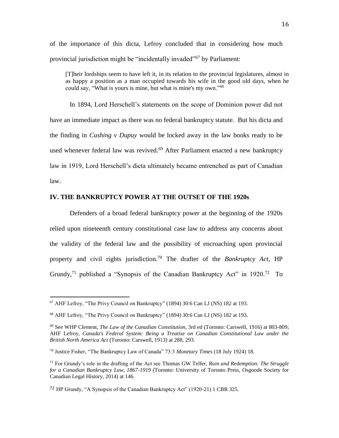of the importance of this dicta, Lefroy concluded that in considering how much provincial jurisdiction might be "incidentally invaded"<sup>67</sup> by Parliament:

[T]heir lordships seem to have left it, in its relation to the provincial legislatures, almost in as happy a position as a man occupied towards his wife in the good old days, when he could say, "What is yours is mine, but what is mine's my own." 68

In 1894, Lord Herschell's statements on the scope of Dominion power did not have an immediate impact as there was no federal bankruptcy statute. But his dicta and the finding in *Cushing v Dupuy* would be locked away in the law books ready to be used whenever federal law was revived.<sup>69</sup> After Parliament enacted a new bankruptcy law in 1919, Lord Herschell's dicta ultimately became entrenched as part of Canadian law.

#### **IV. THE BANKRUPTCY POWER AT THE OUTSET OF THE 1920s**

Defenders of a broad federal bankruptcy power at the beginning of the 1920s relied upon nineteenth century constitutional case law to address any concerns about the validity of the federal law and the possibility of encroaching upon provincial property and civil rights jurisdiction.<sup>70</sup> The drafter of the *Bankruptcy Act,* HP Grundy,<sup>71</sup> published a "Synopsis of the Canadian Bankruptcy Act" in  $1920$ .<sup>72</sup> To

<sup>67</sup> AHF Lefroy, "The Privy Council on Bankruptcy" (1894) 30:6 Can LJ (NS) 182 at 193.

<sup>68</sup> AHF Lefroy, "The Privy Council on Bankruptcy" (1894) 30:6 Can LJ (NS) 182 at 193.

<sup>69</sup> See WHP Clement, *The Law of the Canadian Constitution*, 3rd ed (Toronto: Carswell, 1916) at 803-809; AHF Lefroy, *Canada's Federal System: Being a Treatise on Canadian Constitutional Law under the British North America Act* (Toronto: Carswell, 1913) at 288, 293.

<sup>70</sup> Justice Fisher, "The Bankruptcy Law of Canada" 73:3 *Monetary Times* (18 July 1924) 18.

<sup>71</sup> For Grundy's role in the drafting of the Act see Thomas GW Telfer, *Ruin and Redemption: The Struggle for a Canadian Bankruptcy Law, 1867-1919* (Toronto: University of Toronto Press, Osgoode Society for Canadian Legal History, 2014) at 146.

<sup>72</sup> HP Grundy, "A Synopsis of the Canadian Bankruptcy Act" (1920-21) 1 CBR 325.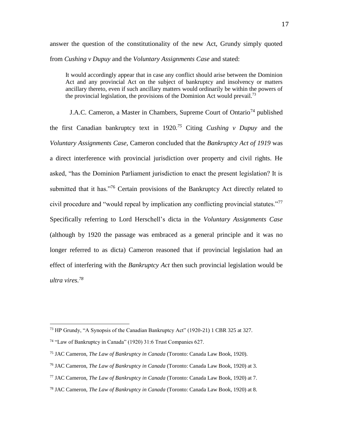answer the question of the constitutionality of the new Act, Grundy simply quoted from *Cushing v Dupuy* and the *Voluntary Assignments Case* and stated:

It would accordingly appear that in case any conflict should arise between the Dominion Act and any provincial Act on the subject of bankruptcy and insolvency or matters ancillary thereto, even if such ancillary matters would ordinarily be within the powers of the provincial legislation, the provisions of the Dominion Act would prevail.<sup>73</sup>

J.A.C. Cameron, a Master in Chambers, Supreme Court of Ontario<sup>74</sup> published the first Canadian bankruptcy text in 1920.<sup>75</sup> Citing *Cushing v Dupuy* and the *Voluntary Assignments Case,* Cameron concluded that the *Bankruptcy Act of 1919* was a direct interference with provincial jurisdiction over property and civil rights. He asked, "has the Dominion Parliament jurisdiction to enact the present legislation? It is submitted that it has."<sup>76</sup> Certain provisions of the Bankruptcy Act directly related to civil procedure and "would repeal by implication any conflicting provincial statutes."<sup>77</sup> Specifically referring to Lord Herschell's dicta in the *Voluntary Assignments Case*  (although by 1920 the passage was embraced as a general principle and it was no longer referred to as dicta) Cameron reasoned that if provincial legislation had an effect of interfering with the *Bankruptcy Act* then such provincial legislation would be *ultra vires.<sup>78</sup>*

<sup>&</sup>lt;sup>73</sup> HP Grundy, "A Synopsis of the Canadian Bankruptcy Act" (1920-21) 1 CBR 325 at 327.

<sup>74</sup> "Law of Bankruptcy in Canada" (1920) 31:6 Trust Companies 627.

<sup>75</sup> JAC Cameron, *The Law of Bankruptcy in Canada* (Toronto: Canada Law Book, 1920).

<sup>76</sup> JAC Cameron, *The Law of Bankruptcy in Canada* (Toronto: Canada Law Book, 1920) at 3.

<sup>77</sup> JAC Cameron, *The Law of Bankruptcy in Canada* (Toronto: Canada Law Book, 1920) at 7.

<sup>78</sup> JAC Cameron, *The Law of Bankruptcy in Canada* (Toronto: Canada Law Book, 1920) at 8.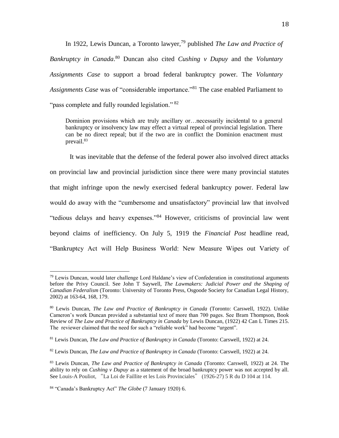In 1922, Lewis Duncan, a Toronto lawyer,<sup>79</sup> published *The Law and Practice of Bankruptcy in Canada*. <sup>80</sup> Duncan also cited *Cushing v Dupuy* and the *Voluntary Assignments Case* to support a broad federal bankruptcy power. The *Voluntary Assignments Case* was of "considerable importance."<sup>81</sup> The case enabled Parliament to "pass complete and fully rounded legislation." <sup>82</sup>

Dominion provisions which are truly ancillary or…necessarily incidental to a general bankruptcy or insolvency law may effect a virtual repeal of provincial legislation. There can be no direct repeal; but if the two are in conflict the Dominion enactment must prevail.<sup>83</sup>

It was inevitable that the defense of the federal power also involved direct attacks on provincial law and provincial jurisdiction since there were many provincial statutes that might infringe upon the newly exercised federal bankruptcy power. Federal law would do away with the "cumbersome and unsatisfactory" provincial law that involved "tedious delays and heavy expenses."<sup>84</sup> However, criticisms of provincial law went beyond claims of inefficiency. On July 5, 1919 the *Financial Post* headline read, "Bankruptcy Act will Help Business World: New Measure Wipes out Variety of

 $79$  Lewis Duncan, would later challenge Lord Haldane's view of Confederation in constitutional arguments before the Privy Council. See John T Saywell, *The Lawmakers: Judicial Power and the Shaping of Canadian Federalism* (Toronto: University of Toronto Press, Osgoode Society for Canadian Legal History, 2002) at 163-64, 168, 179.

<sup>80</sup> Lewis Duncan, *The Law and Practice of Bankruptcy in Canada* (Toronto: Carswell, 1922). Unlike Cameron's work Duncan provided a substantial text of more than 700 pages. See Bram Thompson, Book Review of *The Law and Practice of Bankruptcy in Canada* by Lewis Duncan, (1922) 42 Can L Times 215. The reviewer claimed that the need for such a "reliable work" had become "urgent".

<sup>81</sup> Lewis Duncan, *The Law and Practice of Bankruptcy in Canada* (Toronto: Carswell, 1922) at 24.

<sup>82</sup> Lewis Duncan, *The Law and Practice of Bankruptcy in Canada* (Toronto: Carswell, 1922) at 24.

<sup>83</sup> Lewis Duncan, *The Law and Practice of Bankruptcy in Canada* (Toronto: Carswell, 1922) at 24. The ability to rely on *Cushing v Dupuy* as a statement of the broad bankruptcy power was not accepted by all. See Louis-A Pouliot, "La Loi de Faillite et les Lois Provinciales" (1926-27) 5 R du D 104 at 114.

<sup>84</sup> "Canada's Bankruptcy Act" *The Globe* (7 January 1920) 6.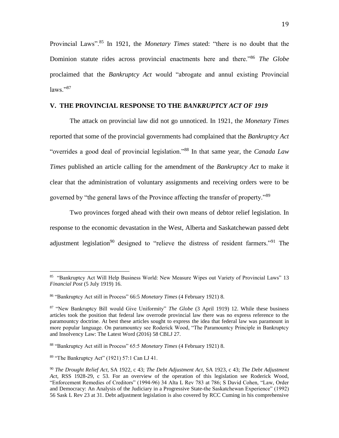Provincial Laws".<sup>85</sup> In 1921, the *Monetary Times* stated: "there is no doubt that the Dominion statute rides across provincial enactments here and there."<sup>86</sup> *The Globe*  proclaimed that the *Bankruptcy Act* would "abrogate and annul existing Provincial  $laws. "87$ 

#### **V. THE PROVINCIAL RESPONSE TO THE** *BANKRUPTCY ACT OF 1919*

The attack on provincial law did not go unnoticed. In 1921, the *Monetary Times* reported that some of the provincial governments had complained that the *Bankruptcy Act* "overrides a good deal of provincial legislation."<sup>88</sup> In that same year, the *Canada Law Times* published an article calling for the amendment of the *Bankruptcy Act* to make it clear that the administration of voluntary assignments and receiving orders were to be governed by "the general laws of the Province affecting the transfer of property."<sup>89</sup>

Two provinces forged ahead with their own means of debtor relief legislation. In response to the economic devastation in the West, Alberta and Saskatchewan passed debt adjustment legislation<sup>90</sup> designed to "relieve the distress of resident farmers."<sup>91</sup> The

<sup>89</sup> "The Bankruptcy Act" (1921) 57:1 Can LJ 41.

<sup>&</sup>lt;sup>85</sup> "Bankruptcy Act Will Help Business World: New Measure Wipes out Variety of Provincial Laws" 13 *Financial Post* (5 July 1919) 16.

<sup>86</sup> "Bankruptcy Act still in Process" 66:5 *Monetary Times* (4 February 1921) 8.

<sup>87</sup> "New Bankruptcy Bill would Give Uniformity" *The Globe* (3 April 1919) 12. While these business articles took the position that federal law overrode provincial law there was no express reference to the paramountcy doctrine. At best these articles sought to express the idea that federal law was paramount in more popular language. On paramountcy see Roderick Wood, "The Paramountcy Principle in Bankruptcy and Insolvency Law: The Latest Word (2016) 58 CBLJ 27.

<sup>88</sup> "Bankruptcy Act still in Process" 65:5 *Monetary Times* (4 February 1921) 8.

<sup>90</sup> *The Drought Relief Act*, SA 1922, c 43; *The Debt Adjustment Act*, SA 1923, c 43; *The Debt Adjustment Act*, RSS 1928-29, c 53. For an overview of the operation of this legislation see Roderick Wood, "Enforcement Remedies of Creditors" (1994-96) 34 Alta L Rev 783 at 786; S David Cohen, "Law, Order and Democracy: An Analysis of the Judiciary in a Progressive State-the Saskatchewan Experience" (1992) 56 Sask L Rev 23 at 31. Debt adjustment legislation is also covered by RCC Cuming in his comprehensive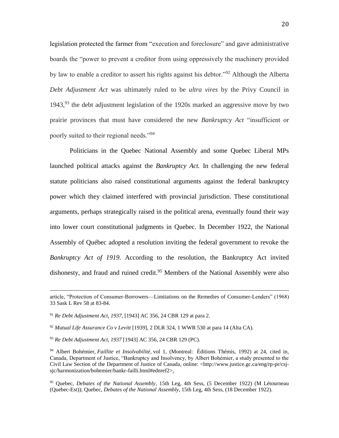legislation protected the farmer from "execution and foreclosure" and gave administrative boards the "power to prevent a creditor from using oppressively the machinery provided by law to enable a creditor to assert his rights against his debtor."<sup>92</sup> Although the Alberta *Debt Adjustment Act* was ultimately ruled to be *ultra vires* by the Privy Council in 1943, $93$  the debt adjustment legislation of the 1920s marked an aggressive move by two prairie provinces that must have considered the new *Bankruptcy Act* "insufficient or poorly suited to their regional needs."<sup>94</sup>

Politicians in the Quebec National Assembly and some Quebec Liberal MPs launched political attacks against the *Bankruptcy Act.* In challenging the new federal statute politicians also raised constitutional arguments against the federal bankruptcy power which they claimed interfered with provincial jurisdiction. These constitutional arguments, perhaps strategically raised in the political arena, eventually found their way into lower court constitutional judgments in Quebec. In December 1922, the National Assembly of Québec adopted a resolution inviting the federal government to revoke the *Bankruptcy Act of 1919*. According to the resolution, the Bankruptcy Act invited dishonesty, and fraud and ruined credit.<sup>95</sup> Members of the National Assembly were also

article, "Protection of Consumer-Borrowers—Limitations on the Remedies of Consumer-Lenders" (1968) 33 Sask L Rev 58 at 83-84.

<sup>91</sup> *Re Debt Adjustment Act*, *1937,* [1943] AC 356, 24 CBR 129 at para 2.

<sup>92</sup> *Mutual Life Assurance Co v Levitt* [1939], 2 DLR 324, 1 WWR 530 at para 14 (Alta CA).

<sup>93</sup> *Re Debt Adjustment Act*, *1937* [1943] AC 356, 24 CBR 129 (PC).

<sup>94</sup> Albert Bohémier, *Faillite et Insolvabilité,* vol 1, (Montreal: Éditions Thémis, 1992) at 24, cited in, Canada, Department of Justice, "Bankruptcy and Insolvency, by Albert Bohémier, a study presented to the Civil Law Section of the Department of Justice of Canada, online: <http://www.justice.gc.ca/eng/rp-pr/csjsjc/harmonization/bohemier/bankr-failli.html#ednref2>.

<sup>95</sup> Quebec, *Debates of the National Assembly*, 15th Leg, 4th Sess, (5 December 1922) (M Létourneau (Quebec-Est)); Quebec, *Debates of the National Assembly*, 15th Leg, 4th Sess, (18 December 1922).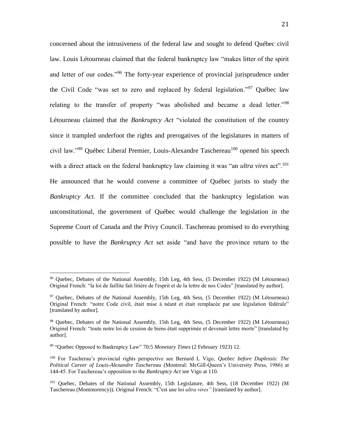concerned about the intrusiveness of the federal law and sought to defend Québec civil law. Louis Létourneau claimed that the federal bankruptcy law "makes litter of the spirit and letter of our codes."<sup>96</sup> The forty-year experience of provincial jurisprudence under the Civil Code "was set to zero and replaced by federal legislation."<sup>97</sup> Ouébec law relating to the transfer of property "was abolished and became a dead letter."<sup>98</sup> Létourneau claimed that the *Bankruptcy Act* "violated the constitution of the country since it trampled underfoot the rights and prerogatives of the legislatures in matters of civil law."<sup>99</sup> Québec Liberal Premier, Louis-Alexandre Taschereau<sup>100</sup> opened his speech with a direct attack on the federal bankruptcy law claiming it was "an *ultra vires* act".<sup>101</sup> He announced that he would convene a committee of Québec jurists to study the *Bankruptcy Act*. If the committee concluded that the bankruptcy legislation was unconstitutional, the government of Québec would challenge the legislation in the Supreme Court of Canada and the Privy Council. Taschereau promised to do everything possible to have the *Bankruptcy Act* set aside "and have the province return to the

<sup>96</sup> Quebec, Debates of the National Assembly, 15th Leg, 4th Sess, (5 December 1922) (M Létourneau) Original French: "la loi de faillite fait litière de l'esprit et de la lettre de nos Codes" [translated by author].

<sup>97</sup> Quebec, Debates of the National Assembly, 15th Leg, 4th Sess, (5 December 1922) (M Létourneau) Original French: "notre Code civil, était mise à néant et était remplacée par une législation fédérale" [translated by author].

<sup>98</sup> Quebec, Debates of the National Assembly, 15th Leg, 4th Sess, (5 December 1922) (M Létourneau) Original French: "toute notre loi de cession de biens était supprimée et devenait lettre morte" [translated by author].

<sup>99</sup> "Quebec Opposed to Bankruptcy Law" 70:5 *Monetary Times* (2 February 1923) 12.

<sup>100</sup> For Tascherau's provincial rights perspective see Bernard L Vigo, *Quebec before Duplessis: The Political Career of Louis-Alexandre Taschereau* (Montreal: McGill-Queen's University Press, 1986) at 144-45. For Taschereau's opposition to the *Bankruptcy Act* see Vigo at 110.

<sup>101</sup> Quebec, Debates of the National Assembly, 15th Legislature, 4th Sess, (18 December 1922) (M Taschereau (Montmorency)). Original French: "C'est une loi *ultra vires"* [translated by author].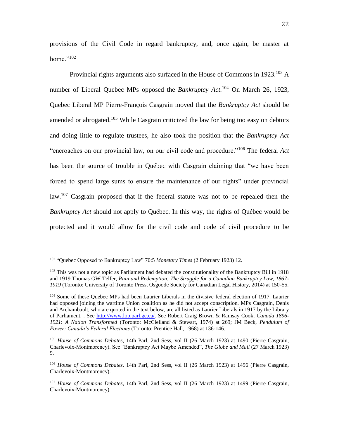provisions of the Civil Code in regard bankruptcy, and, once again, be master at home."<sup>102</sup>

Provincial rights arguments also surfaced in the House of Commons in  $1923$ .<sup>103</sup> A number of Liberal Quebec MPs opposed the *Bankruptcy Act*.<sup>104</sup> On March 26, 1923, Quebec Liberal MP Pierre-François Casgrain moved that the *Bankruptcy Act* should be amended or abrogated.<sup>105</sup> While Casgrain criticized the law for being too easy on debtors and doing little to regulate trustees, he also took the position that the *Bankruptcy Act* "encroaches on our provincial law, on our civil code and procedure."<sup>106</sup> The federal *Act* has been the source of trouble in Québec with Casgrain claiming that "we have been forced to spend large sums to ensure the maintenance of our rights" under provincial law.<sup>107</sup> Casgrain proposed that if the federal statute was not to be repealed then the *Bankruptcy Act* should not apply to Québec. In this way, the rights of Québec would be protected and it would allow for the civil code and code of civil procedure to be

<sup>&</sup>lt;sup>102</sup> "Quebec Opposed to Bankruptcy Law" 70:5 Monetary Times (2 February 1923) 12.

<sup>&</sup>lt;sup>103</sup> This was not a new topic as Parliament had debated the constitutionality of the Bankruptcy Bill in 1918 and 1919 Thomas GW Telfer, *Ruin and Redemption: The Struggle for a Canadian Bankruptcy Law, 1867- 1919* (Toronto: University of Toronto Press, Osgoode Society for Canadian Legal History, 2014) at 150-55.

<sup>&</sup>lt;sup>104</sup> Some of these Quebec MPs had been Laurier Liberals in the divisive federal election of 1917. Laurier had opposed joining the wartime Union coalition as he did not accept conscription. MPs Casgrain, Denis and Archambault, who are quoted in the text below, are all listed as Laurier Liberals in 1917 by the Library of Parliament. . See [http://www.lop.parl.gc.ca/.](http://www.lop.parl.gc.ca/) See Robert Craig Brown & Ramsay Cook, *Canada 1896- 1921*: *A Nation Transformed* (Toronto: McClelland & Stewart, 1974) at 269; JM Beck, *Pendulum of Power: Canada's Federal Elections* (Toronto: Prentice Hall, 1968) at 136-146.

<sup>105</sup> *House of Commons Debates*, 14th Parl, 2nd Sess, vol II (26 March 1923) at 1490 (Pierre Casgrain, Charlevoix-Montmorency). See "Bankruptcy Act Maybe Amended", *The Globe and Mail* (27 March 1923) 9.

<sup>106</sup> *House of Commons Debates*, 14th Parl, 2nd Sess, vol II (26 March 1923) at 1496 (Pierre Casgrain, Charlevoix-Montmorency).

<sup>107</sup> *House of Commons Debates*, 14th Parl, 2nd Sess, vol II (26 March 1923) at 1499 (Pierre Casgrain, Charlevoix-Montmorency).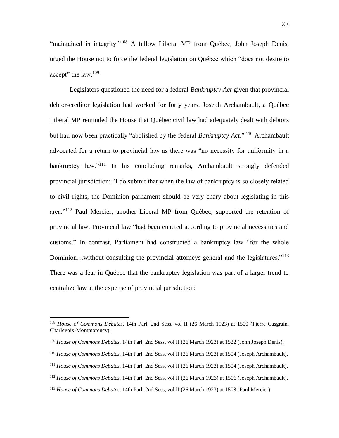"maintained in integrity."<sup>108</sup> A fellow Liberal MP from Québec, John Joseph Denis, urged the House not to force the federal legislation on Québec which "does not desire to accept" the law.<sup>109</sup>

Legislators questioned the need for a federal *Bankruptcy Act* given that provincial debtor-creditor legislation had worked for forty years. Joseph Archambault, a Québec Liberal MP reminded the House that Québec civil law had adequately dealt with debtors but had now been practically "abolished by the federal *Bankruptcy Act*." <sup>110</sup> Archambault advocated for a return to provincial law as there was "no necessity for uniformity in a bankruptcy law."<sup>111</sup> In his concluding remarks, Archambault strongly defended provincial jurisdiction: "I do submit that when the law of bankruptcy is so closely related to civil rights, the Dominion parliament should be very chary about legislating in this area."<sup>112</sup> Paul Mercier, another Liberal MP from Québec, supported the retention of provincial law. Provincial law "had been enacted according to provincial necessities and customs." In contrast, Parliament had constructed a bankruptcy law "for the whole Dominion...without consulting the provincial attorneys-general and the legislatures."<sup>113</sup> There was a fear in Québec that the bankruptcy legislation was part of a larger trend to centralize law at the expense of provincial jurisdiction:

- <sup>111</sup> *House of Commons Debates*, 14th Parl, 2nd Sess, vol II (26 March 1923) at 1504 (Joseph Archambault).
- <sup>112</sup> *House of Commons Debates*, 14th Parl, 2nd Sess, vol II (26 March 1923) at 1506 (Joseph Archambault).

<sup>108</sup> *House of Commons Debates*, 14th Parl, 2nd Sess, vol II (26 March 1923) at 1500 (Pierre Casgrain, Charlevoix-Montmorency).

<sup>109</sup> *House of Commons Debates*, 14th Parl, 2nd Sess, vol II (26 March 1923) at 1522 (John Joseph Denis).

<sup>110</sup> *House of Commons Debates*, 14th Parl, 2nd Sess, vol II (26 March 1923) at 1504 (Joseph Archambault).

<sup>113</sup> *House of Commons Debates*, 14th Parl, 2nd Sess, vol II (26 March 1923) at 1508 (Paul Mercier).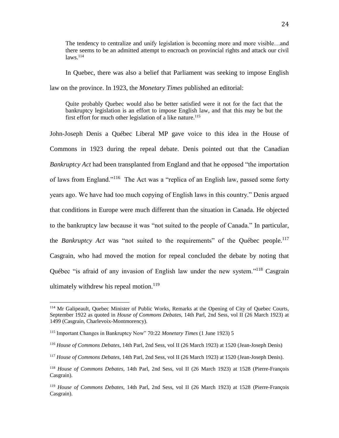The tendency to centralize and unify legislation is becoming more and more visible…and there seems to be an admitted attempt to encroach on provincial rights and attack our civil  $laws$ <sup> $114$ </sup>

In Quebec, there was also a belief that Parliament was seeking to impose English law on the province. In 1923, the *Monetary Times* published an editorial:

Quite probably Quebec would also be better satisfied were it not for the fact that the bankruptcy legislation is an effort to impose English law, and that this may be but the first effort for much other legislation of a like nature.<sup>115</sup>

John-Joseph Denis a Québec Liberal MP gave voice to this idea in the House of Commons in 1923 during the repeal debate. Denis pointed out that the Canadian *Bankruptcy Act* had been transplanted from England and that he opposed "the importation of laws from England."<sup>116</sup> The Act was a "replica of an English law, passed some forty years ago. We have had too much copying of English laws in this country." Denis argued that conditions in Europe were much different than the situation in Canada. He objected to the bankruptcy law because it was "not suited to the people of Canada." In particular, the *Bankruptcy Act* was "not suited to the requirements" of the Québec people.<sup>117</sup> Casgrain, who had moved the motion for repeal concluded the debate by noting that Québec "is afraid of any invasion of English law under the new system."<sup>118</sup> Casgrain ultimately withdrew his repeal motion.<sup>119</sup>

<sup>114</sup> Mr Galipeault, Quebec Minister of Public Works, Remarks at the Opening of City of Quebec Courts, September 1922 as quoted in *House of Commons Debates*, 14th Parl, 2nd Sess, vol II (26 March 1923) at 1499 (Casgrain, Charlevoix-Montmorency).

<sup>115</sup> Important Changes in Bankruptcy Now" 70:22 *Monetary Times* (1 June 1923) 5

<sup>116</sup> *House of Commons Debates*, 14th Parl, 2nd Sess, vol II (26 March 1923) at 1520 (Jean-Joseph Denis)

<sup>117</sup> *House of Commons Debates*, 14th Parl, 2nd Sess, vol II (26 March 1923) at 1520 (Jean-Joseph Denis).

<sup>118</sup> *House of Commons Debates*, 14th Parl, 2nd Sess, vol II (26 March 1923) at 1528 (Pierre-François Casgrain).

<sup>119</sup> *House of Commons Debates*, 14th Parl, 2nd Sess, vol II (26 March 1923) at 1528 (Pierre-François Casgrain).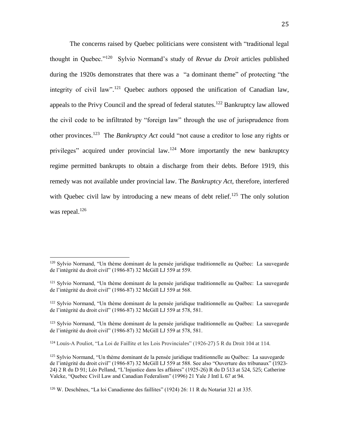The concerns raised by Quebec politicians were consistent with "traditional legal thought in Quebec."<sup>120</sup> Sylvio Normand's study of *Revue du Droit* articles published during the 1920s demonstrates that there was a "a dominant theme" of protecting "the integrity of civil law".<sup>121</sup> Quebec authors opposed the unification of Canadian law, appeals to the Privy Council and the spread of federal statutes.<sup>122</sup> Bankruptcy law allowed the civil code to be infiltrated by "foreign law" through the use of jurisprudence from other provinces.<sup>123</sup> The *Bankruptcy Act* could "not cause a creditor to lose any rights or privileges" acquired under provincial law.<sup>124</sup> More importantly the new bankruptcy regime permitted bankrupts to obtain a discharge from their debts. Before 1919, this remedy was not available under provincial law. The *Bankruptcy Act,* therefore, interfered with Quebec civil law by introducing a new means of debt relief.<sup>125</sup> The only solution was repeal. $126$ 

<sup>120</sup> Sylvio Normand, "Un thème dominant de la pensée juridique traditionnelle au Québec: La sauvegarde de l'intégrité du droit civil" (1986-87) 32 McGill LJ 559 at 559.

<sup>&</sup>lt;sup>121</sup> Sylvio Normand, "Un thème dominant de la pensée juridique traditionnelle au Québec: La sauvegarde de l'intégrité du droit civil" (1986-87) 32 McGill LJ 559 at 568.

<sup>&</sup>lt;sup>122</sup> Sylvio Normand, "Un thème dominant de la pensée juridique traditionnelle au Québec: La sauvegarde de l'intégrité du droit civil" (1986-87) 32 McGill LJ 559 at 578, 581.

<sup>123</sup> Sylvio Normand, "Un thème dominant de la pensée juridique traditionnelle au Québec: La sauvegarde de l'intégrité du droit civil" (1986-87) 32 McGill LJ 559 at 578, 581.

<sup>124</sup> Louis-A Pouliot, "La Loi de Faillite et les Lois Provinciales" (1926-27) 5 R du Droit 104 at 114.

<sup>&</sup>lt;sup>125</sup> Sylvio Normand, "Un thème dominant de la pensée juridique traditionnelle au Québec: La sauvegarde de l'intégrité du droit civil" (1986-87) 32 McGill LJ 559 at 588. See also "Ouverture des tribunaux" (1923- 24) 2 R du D 91; Léo Pelland, "L'Injustice dans les affaires" (1925-26) R du D 513 at 524, 525; Catherine Valcke, "Quebec Civil Law and Canadian Federalism" (1996) 21 Yale J Intl L 67 at 94.

<sup>126</sup> W. Deschênes, "La loi Canadienne des faillites" (1924) 26: 11 R du Notariat 321 at 335.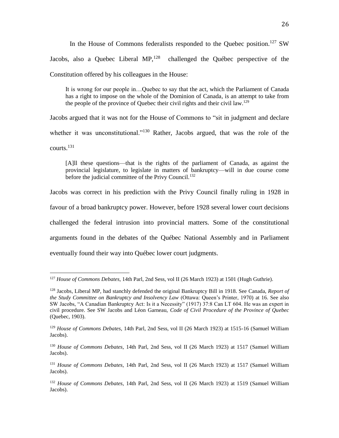In the House of Commons federalists responded to the Quebec position.<sup>127</sup> SW Jacobs, also a Quebec Liberal  $MP<sub>128</sub>$  challenged the Québec perspective of the Constitution offered by his colleagues in the House:

It is wrong for our people in…Quebec to say that the act, which the Parliament of Canada has a right to impose on the whole of the Dominion of Canada, is an attempt to take from the people of the province of Quebec their civil rights and their civil law.<sup>129</sup>

Jacobs argued that it was not for the House of Commons to "sit in judgment and declare whether it was unconstitutional."<sup>130</sup> Rather, Jacobs argued, that was the role of the courts. $^{131}$ 

[A]ll these questions—that is the rights of the parliament of Canada, as against the provincial legislature, to legislate in matters of bankruptcy—will in due course come before the judicial committee of the Privy Council.<sup>132</sup>

Jacobs was correct in his prediction with the Privy Council finally ruling in 1928 in

favour of a broad bankruptcy power. However, before 1928 several lower court decisions

challenged the federal intrusion into provincial matters. Some of the constitutional

arguments found in the debates of the Québec National Assembly and in Parliament

eventually found their way into Québec lower court judgments.

<sup>127</sup> *House of Commons Debates*, 14th Parl, 2nd Sess, vol II (26 March 1923) at 1501 (Hugh Guthrie).

<sup>128</sup> Jacobs, Liberal MP, had stanchly defended the original Bankruptcy Bill in 1918. See Canada, *Report of the Study Committee on Bankruptcy and Insolvency Law* (Ottawa: Queen's Printer, 1970) at 16. See also SW Jacobs, "A Canadian Bankruptcy Act: Is it a Necessity" (1917) 37:8 Can LT 604. He was an expert in civil procedure. See SW Jacobs and Léon Garneau, *Code of Civil Procedure of the Province of Quebec* (Quebec, 1903).

<sup>129</sup> *House of Commons Debates*, 14th Parl, 2nd Sess, vol II (26 March 1923) at 1515-16 (Samuel William Jacobs).

<sup>130</sup> *House of Commons Debates*, 14th Parl, 2nd Sess, vol II (26 March 1923) at 1517 (Samuel William Jacobs).

<sup>131</sup> *House of Commons Debates*, 14th Parl, 2nd Sess, vol II (26 March 1923) at 1517 (Samuel William Jacobs).

<sup>132</sup> *House of Commons Debates*, 14th Parl, 2nd Sess, vol II (26 March 1923) at 1519 (Samuel William Jacobs).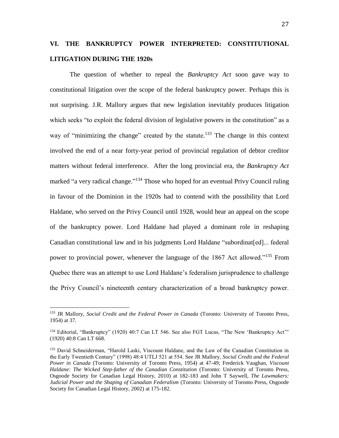## **VI. THE BANKRUPTCY POWER INTERPRETED: CONSTITUTIONAL LITIGATION DURING THE 1920s**

The question of whether to repeal the *Bankruptcy Act* soon gave way to constitutional litigation over the scope of the federal bankruptcy power. Perhaps this is not surprising. J.R. Mallory argues that new legislation inevitably produces litigation which seeks "to exploit the federal division of legislative powers in the constitution" as a way of "minimizing the change" created by the statute.<sup>133</sup> The change in this context involved the end of a near forty-year period of provincial regulation of debtor creditor matters without federal interference. After the long provincial era, the *Bankruptcy Act* marked "a very radical change."<sup>134</sup> Those who hoped for an eventual Privy Council ruling in favour of the Dominion in the 1920s had to contend with the possibility that Lord Haldane, who served on the Privy Council until 1928, would hear an appeal on the scope of the bankruptcy power. Lord Haldane had played a dominant role in reshaping Canadian constitutional law and in his judgments Lord Haldane "subordinat[ed]... federal power to provincial power, whenever the language of the 1867 Act allowed."<sup>135</sup> From Quebec there was an attempt to use Lord Haldane's federalism jurisprudence to challenge the Privy Council's nineteenth century characterization of a broad bankruptcy power.

<sup>133</sup> JR Mallory, *Social Credit and the Federal Power in Canada* (Toronto: University of Toronto Press, 1954) at 37.

<sup>134</sup> Editorial, "Bankruptcy" (1920) 40:7 Can LT 546. See also FGT Lucas, "The New 'Bankruptcy Act'" (1920) 40:8 Can LT 668.

<sup>&</sup>lt;sup>135</sup> David Schneiderman, "Harold Laski, Viscount Haldane, and the Law of the Canadian Constitution in the Early Twentieth Century" (1998) 48:4 UTLJ 521 at 554. See JR Mallory, *Social Credit and the Federal Power in Canada* (Toronto: University of Toronto Press, 1954) at 47-49; Frederick Vaughan, *Viscount Haldane: The Wicked Step-father of the Canadian Constitution* (Toronto: University of Toronto Press, Osgoode Society for Canadian Legal History, 2010) at 182-183 and John T Saywell, *The Lawmakers: Judicial Power and the Shaping of Canadian Federalism* (Toronto: University of Toronto Press, Osgoode Society for Canadian Legal History, 2002) at 175-182.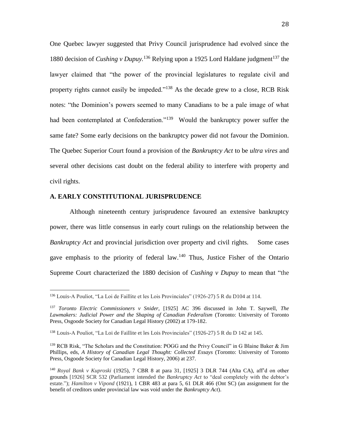One Quebec lawyer suggested that Privy Council jurisprudence had evolved since the 1880 decision of *Cushing v Dupuy*.<sup>136</sup> Relying upon a 1925 Lord Haldane judgment<sup>137</sup> the lawyer claimed that "the power of the provincial legislatures to regulate civil and property rights cannot easily be impeded."<sup>138</sup> As the decade grew to a close, RCB Risk notes: "the Dominion's powers seemed to many Canadians to be a pale image of what had been contemplated at Confederation."<sup>139</sup> Would the bankruptcy power suffer the same fate? Some early decisions on the bankruptcy power did not favour the Dominion. The Quebec Superior Court found a provision of the *Bankruptcy Act* to be *ultra vires* and several other decisions cast doubt on the federal ability to interfere with property and civil rights.

#### **A. EARLY CONSTITUTIONAL JURISPRUDENCE**

 $\overline{a}$ 

Although nineteenth century jurisprudence favoured an extensive bankruptcy power, there was little consensus in early court rulings on the relationship between the *Bankruptcy Act* and provincial jurisdiction over property and civil rights. Some cases gave emphasis to the priority of federal law.<sup>140</sup> Thus, Justice Fisher of the Ontario Supreme Court characterized the 1880 decision of *Cushing v Dupuy* to mean that "the

<sup>136</sup> Louis-A Pouliot, "La Loi de Faillite et les Lois Provinciales" (1926-27) 5 R du D104 at 114.

<sup>137</sup> *Toronto Electric Commissioners v Snider,* [1925] AC 396 discussed in John T. Saywell, *The Lawmakers: Judicial Power and the Shaping of Canadian Federalism* (Toronto: University of Toronto Press, Osgoode Society for Canadian Legal History (2002) at 179-182.

<sup>138</sup> Louis-A Pouliot, "La Loi de Faillite et les Lois Provinciales" (1926-27) 5 R du D 142 at 145.

<sup>&</sup>lt;sup>139</sup> RCB Risk, "The Scholars and the Constitution: POGG and the Privy Council" in G Blaine Baker & Jim Phillips, eds, *A History of Canadian Legal Thought: Collected Essays* (Toronto: University of Toronto Press, Osgoode Society for Canadian Legal History, 2006) at 237.

<sup>140</sup> *Royal Bank v Kuproski* (1925), 7 CBR 8 at para 31, [1925] 3 DLR 744 (Alta CA), aff'd on other grounds [1926] SCR 532 (Parliament intended the *Bankruptcy Act* to "deal completely with the debtor's estate."); *Hamilton v Vipond* (1921), 1 CBR 483 at para 5, 61 DLR 466 (Ont SC) (an assignment for the benefit of creditors under provincial law was void under the *Bankruptcy Act*).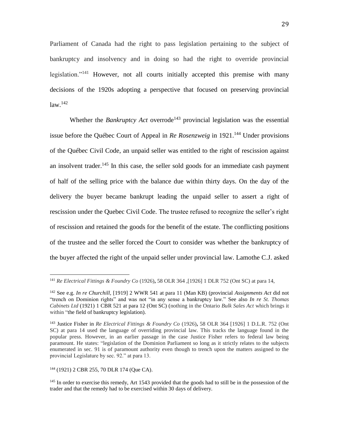Parliament of Canada had the right to pass legislation pertaining to the subject of bankruptcy and insolvency and in doing so had the right to override provincial legislation."<sup>141</sup> However, not all courts initially accepted this premise with many decisions of the 1920s adopting a perspective that focused on preserving provincial  $law.<sup>142</sup>$ 

Whether the *Bankruptcy Act* overrode<sup>143</sup> provincial legislation was the essential issue before the Québec Court of Appeal in *Re Rosenzweig* in 1921. <sup>144</sup> Under provisions of the Québec Civil Code, an unpaid seller was entitled to the right of rescission against an insolvent trader.<sup>145</sup> In this case, the seller sold goods for an immediate cash payment of half of the selling price with the balance due within thirty days. On the day of the delivery the buyer became bankrupt leading the unpaid seller to assert a right of rescission under the Quebec Civil Code. The trustee refused to recognize the seller's right of rescission and retained the goods for the benefit of the estate. The conflicting positions of the trustee and the seller forced the Court to consider was whether the bankruptcy of the buyer affected the right of the unpaid seller under provincial law. Lamothe C.J. asked

<sup>144</sup> (1921) 2 CBR 255, 70 DLR 174 (Que CA).

<sup>141</sup> *Re Electrical Fittings & Foundry Co* (1926)**,** 58 OLR 364 ,[1926] 1 DLR 752 (Ont SC) at para 14,

<sup>142</sup> See e.g. *In re Churchill,* [1919] 2 WWR 541 at para 11 (Man KB) (provincial *Assignments Act* did not "trench on Dominion rights" and was not "in any sense a bankruptcy law." See also *In re St. Thomas Cabinets Ltd* (1921) 1 CBR 521 at para 12 (Ont SC) (nothing in the Ontario *Bulk Sales Act* which brings it within "the field of bankruptcy legislation).

<sup>143</sup> Justice Fisher in *Re Electrical Fittings & Foundry Co* (1926)**,** 58 OLR 364 [1926] 1 D.L.R. 752 (Ont SC) at para 14 used the language of overriding provincial law. This tracks the language found in the popular press. However, in an earlier passage in the case Justice Fisher refers to federal law being paramount. He states: "legislation of the Dominion Parliament so long as it strictly relates to the subjects enumerated in sec. 91 is of paramount authority even though to trench upon the matters assigned to the provincial Legislature by sec. 92." at para 13.

<sup>&</sup>lt;sup>145</sup> In order to exercise this remedy, Art 1543 provided that the goods had to still be in the possession of the trader and that the remedy had to be exercised within 30 days of delivery.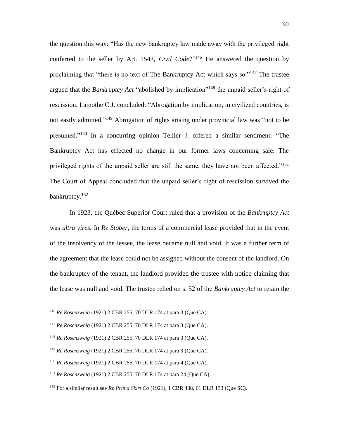the question this way: "Has the new bankruptcy law made away with the privileged right conferred to the seller by Art. 1543, *Civil Code*?"<sup>146</sup> He answered the question by proclaiming that "there is no text of The Bankruptcy Act which says so."<sup>147</sup> The trustee argued that the *Bankruptcy Act* "abolished by implication"<sup>148</sup> the unpaid seller's right of rescission. Lamothe C.J. concluded: "Abrogation by implication, in civilized countries, is not easily admitted."<sup>149</sup> Abrogation of rights arising under provincial law was "not to be presumed."<sup>150</sup> In a concurring opinion Tellier J. offered a similar sentiment: "The Bankruptcy Act has effected no change in our former laws concerning sale. The privileged rights of the unpaid seller are still the same, they have not been affected."<sup>151</sup> The Court of Appeal concluded that the unpaid seller's right of rescission survived the bankruptcy.<sup>152</sup>

In 1923, the Québec Superior Court ruled that a provision of the *Bankruptcy Act* was *ultra vires.* In *Re Stober,* the terms of a commercial lease provided that in the event of the insolvency of the lessee, the lease became null and void. It was a further term of the agreement that the lease could not be assigned without the consent of the landlord. On the bankruptcy of the tenant, the landlord provided the trustee with notice claiming that the lease was null and void. The trustee relied on s. 52 of the *Bankruptcy Act* to retain the

<sup>146</sup> *Re Rosenzweig* (1921) 2 CBR 255, 70 DLR 174 at para 3 (Que CA).

<sup>147</sup> *Re Rosenzweig* (1921) 2 CBR 255, 70 DLR 174 at para 3 (Que CA).

<sup>148</sup> *Re Rosenzweig* (1921) 2 CBR 255, 70 DLR 174 at para 3 (Que CA).

<sup>149</sup> *Re Rosenzweig* (1921) 2 CBR 255, 70 DLR 174 at para 3 (Que CA).

<sup>150</sup> *Re Rosenzweig* (1921) 2 CBR 255, 70 DLR 174 at para 4 (Que CA).

<sup>151</sup> *Re Rosenzweig* (1921) 2 CBR 255, 70 DLR 174 at para 24 (Que CA).

<sup>152</sup> For a similar result see *Re Prima Skirt Co* (1921), 1 CBR 438, 61 DLR 133 (Que SC).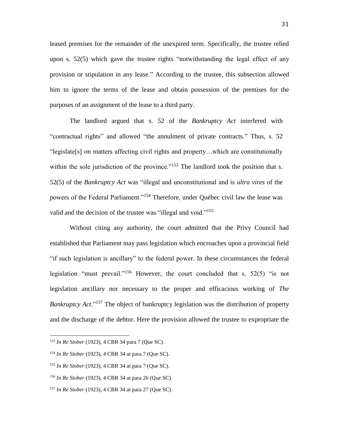leased premises for the remainder of the unexpired term. Specifically, the trustee relied upon s. 52(5) which gave the trustee rights "notwithstanding the legal effect of any provision or stipulation in any lease." According to the trustee, this subsection allowed him to ignore the terms of the lease and obtain possession of the premises for the purposes of an assignment of the lease to a third party.

The landlord argued that s. 52 of the *Bankruptcy Act* interfered with "contractual rights" and allowed "the annulment of private contracts." Thus, s. 52 "legislate[s] on matters affecting civil rights and property…which are constitutionally within the sole jurisdiction of the province."<sup>153</sup> The landlord took the position that s. 52(5) of the *Bankruptcy Act* was "illegal and unconstitutional and is *ultra vires* of the powers of the Federal Parliament."<sup>154</sup> Therefore, under Québec civil law the lease was valid and the decision of the trustee was "illegal and void."<sup>155</sup>

Without citing any authority, the court admitted that the Privy Council had established that Parliament may pass legislation which encroaches upon a provincial field "if such legislation is ancillary" to the federal power. In these circumstances the federal legislation "must prevail."<sup>156</sup> However, the court concluded that s. 52(5) "is not legislation ancillary nor necessary to the proper and efficacious working of *The Bankruptcy Act*." <sup>157</sup> The object of bankruptcy legislation was the distribution of property and the discharge of the debtor. Here the provision allowed the trustee to expropriate the

<sup>153</sup> *In Re Stober* (1923), 4 CBR 34 para 7 (Que SC).

<sup>154</sup> *In Re Stober* (1923), 4 CBR 34 at para 7 (Que SC).

<sup>155</sup> *In Re Stober* (1923), 4 CBR 34 at para 7 (Que SC).

<sup>156</sup> *In Re Stober* (1923), 4 CBR 34 at para 26 (Que SC).

<sup>157</sup> *In Re Stober* (1923), 4 CBR 34 at para 27 (Que SC).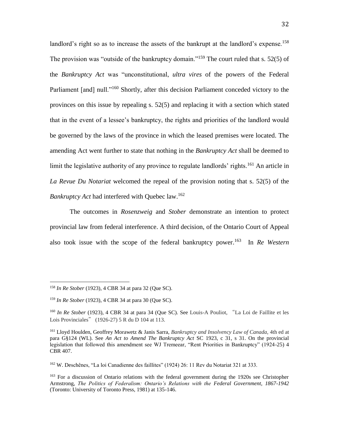landlord's right so as to increase the assets of the bankrupt at the landlord's expense.<sup>158</sup> The provision was "outside of the bankruptcy domain."<sup>159</sup> The court ruled that s. 52(5) of the *Bankruptcy Act* was "unconstitutional, *ultra vires* of the powers of the Federal Parliament [and] null."<sup>160</sup> Shortly, after this decision Parliament conceded victory to the provinces on this issue by repealing s. 52(5) and replacing it with a section which stated that in the event of a lessee's bankruptcy, the rights and priorities of the landlord would be governed by the laws of the province in which the leased premises were located. The amending Act went further to state that nothing in the *Bankruptcy Act* shall be deemed to limit the legislative authority of any province to regulate landlords' rights.<sup>161</sup> An article in *La Revue Du Notariat* welcomed the repeal of the provision noting that s. 52(5) of the *Bankruptcy Act* had interfered with Quebec law.<sup>162</sup>

The outcomes in *Rosenzweig* and *Stober* demonstrate an intention to protect provincial law from federal interference. A third decision, of the Ontario Court of Appeal also took issue with the scope of the federal bankruptcy power. 163 In *Re Western* 

<sup>158</sup> *In Re Stober* (1923), 4 CBR 34 at para 32 (Que SC).

<sup>159</sup> *In Re Stober* (1923), 4 CBR 34 at para 30 (Que SC).

<sup>&</sup>lt;sup>160</sup> In Re Stober (1923), 4 CBR 34 at para 34 (Que SC). See Louis-A Pouliot, "La Loi de Faillite et les Lois Provinciales" (1926-27) 5 R du D 104 at 113.

<sup>161</sup> Lloyd Houlden, Geoffrey Morawetz & Janis Sarra, *Bankruptcy and Insolvency Law of Canada,* 4th ed at para G§124 (WL). See *An Act to Amend The Bankruptcy Act* SC 1923, c 31, s 31. On the provincial legislation that followed this amendment see WJ Tremeear, "Rent Priorities in Bankruptcy" (1924-25) 4 CBR 407.

<sup>162</sup> W. Deschênes, "La loi Canadienne des faillites" (1924) 26: 11 Rev du Notariat 321 at 333.

<sup>&</sup>lt;sup>163</sup> For a discussion of Ontario relations with the federal government during the 1920s see Christopher Armstrong, *The Politics of Federalism: Ontario's Relations with the Federal Government, 1867-1942* (Toronto: University of Toronto Press, 1981) at 135-146.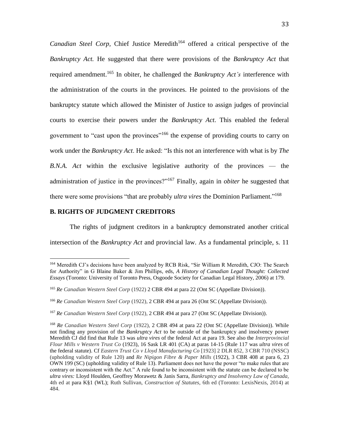*Canadian Steel Corp,* Chief Justice Meredith<sup>164</sup> offered a critical perspective of the *Bankruptcy Act.* He suggested that there were provisions of the *Bankruptcy Act* that required amendment. <sup>165</sup> In obiter, he challenged the *Bankruptcy Act's* interference with the administration of the courts in the provinces. He pointed to the provisions of the bankruptcy statute which allowed the Minister of Justice to assign judges of provincial courts to exercise their powers under the *Bankruptcy Act*. This enabled the federal government to "cast upon the provinces"<sup>166</sup> the expense of providing courts to carry on work under the *Bankruptcy Act*. He asked: "Is this not an interference with what is by *The B.N.A. Act* within the exclusive legislative authority of the provinces — the administration of justice in the provinces?"<sup>167</sup> Finally, again in *obiter* he suggested that there were some provisions "that are probably *ultra vires* the Dominion Parliament." 168

#### **B. RIGHTS OF JUDGMENT CREDITORS**

 $\overline{a}$ 

The rights of judgment creditors in a bankruptcy demonstrated another critical intersection of the *Bankruptcy Act* and provincial law. As a fundamental principle, s. 11

<sup>164</sup> Meredith CJ's decisions have been analyzed by RCB Risk, "Sir William R Meredith, CJO: The Search for Authority" in G Blaine Baker & Jim Phillips, eds, *A History of Canadian Legal Thought: Collected Essays* (Toronto: University of Toronto Press, Osgoode Society for Canadian Legal History, 2006) at 179.

<sup>165</sup> *Re Canadian Western Steel Corp* (1922) 2 CBR 494 at para 22 (Ont SC (Appellate Division)).

<sup>166</sup> *Re Canadian Western Steel Corp* (1922), 2 CBR 494 at para 26 (Ont SC (Appellate Division)).

<sup>&</sup>lt;sup>167</sup> Re Canadian Western Steel Corp (1922), 2 CBR 494 at para 27 (Ont SC (Appellate Division)).

<sup>168</sup> *Re Canadian Western Steel Corp* (1922), 2 CBR 494 at para 22 (Ont SC (Appellate Division)). While not finding any provision of the *Bankruptcy Act* to be outside of the bankruptcy and insolvency power Meredith CJ did find that Rule 13 was *ultra vires* of the federal Act at para 19. See also the *Interprovincial Flour Mills v Western Trust Co* (1923), 16 Sask LR 401 (CA) at paras 14-15 (Rule 117 was *ultra vires* of the federal statute). Cf *Eastern Trust Co v Lloyd Manufacturing Co* [1923] 2 DLR 852, 3 CBR 710 (NSSC) (upholding validity of Rule 120) and *Re Nipigon Fibre & Paper Mills* (1922), 3 CBR 408 at para 6, 23 OWN 199 (SC) (upholding validity of Rule 13). Parliament does not have the power "to make rules that are contrary or inconsistent with the Act." A rule found to be inconsistent with the statute can be declared to be *ultra vires:* Lloyd Houlden, Geoffrey Morawetz & Janis Sarra, *Bankruptcy and Insolvency Law of Canada,* 4th ed at para K§1 (WL); Ruth Sullivan, *Construction of Statutes*, 6th ed (Toronto: LexisNexis, 2014) at 484.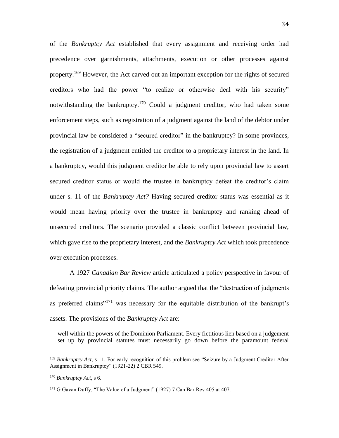of the *Bankruptcy Act* established that every assignment and receiving order had precedence over garnishments, attachments, execution or other processes against property.<sup>169</sup> However, the Act carved out an important exception for the rights of secured creditors who had the power "to realize or otherwise deal with his security" notwithstanding the bankruptcy.<sup>170</sup> Could a judgment creditor, who had taken some enforcement steps, such as registration of a judgment against the land of the debtor under provincial law be considered a "secured creditor" in the bankruptcy? In some provinces, the registration of a judgment entitled the creditor to a proprietary interest in the land. In a bankruptcy, would this judgment creditor be able to rely upon provincial law to assert secured creditor status or would the trustee in bankruptcy defeat the creditor's claim under s. 11 of the *Bankruptcy Act?* Having secured creditor status was essential as it would mean having priority over the trustee in bankruptcy and ranking ahead of unsecured creditors. The scenario provided a classic conflict between provincial law, which gave rise to the proprietary interest, and the *Bankruptcy Act* which took precedence over execution processes.

A 1927 *Canadian Bar Review* article articulated a policy perspective in favour of defeating provincial priority claims. The author argued that the "destruction of judgments as preferred claims"<sup>171</sup> was necessary for the equitable distribution of the bankrupt's assets. The provisions of the *Bankruptcy Act* are:

well within the powers of the Dominion Parliament. Every fictitious lien based on a judgement set up by provincial statutes must necessarily go down before the paramount federal

<sup>169</sup> *Bankruptcy Act*, s 11. For early recognition of this problem see "Seizure by a Judgment Creditor After Assignment in Bankruptcy" (1921-22) 2 CBR 549.

<sup>170</sup> *Bankruptcy Act*, s 6.

<sup>&</sup>lt;sup>171</sup> G Gavan Duffy, "The Value of a Judgment" (1927) 7 Can Bar Rev 405 at 407.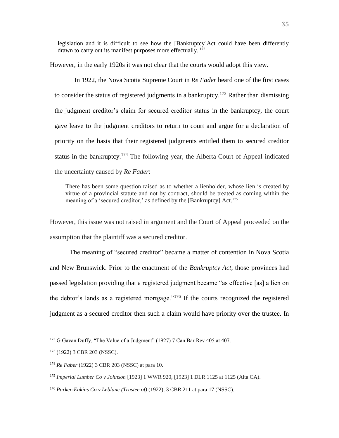legislation and it is difficult to see how the [Bankruptcy]Act could have been differently drawn to carry out its manifest purposes more effectually.  $172$ 

However, in the early 1920s it was not clear that the courts would adopt this view.

In 1922, the Nova Scotia Supreme Court in *Re Fader* heard one of the first cases to consider the status of registered judgments in a bankruptcy.<sup>173</sup> Rather than dismissing the judgment creditor's claim for secured creditor status in the bankruptcy, the court gave leave to the judgment creditors to return to court and argue for a declaration of priority on the basis that their registered judgments entitled them to secured creditor status in the bankruptcy.<sup>174</sup> The following year, the Alberta Court of Appeal indicated the uncertainty caused by *Re Fader*:

There has been some question raised as to whether a lienholder, whose lien is created by virtue of a provincial statute and not by contract, should be treated as coming within the meaning of a 'secured creditor,' as defined by the [Bankruptcy] Act.<sup>175</sup>

However, this issue was not raised in argument and the Court of Appeal proceeded on the assumption that the plaintiff was a secured creditor.

The meaning of "secured creditor" became a matter of contention in Nova Scotia and New Brunswick. Prior to the enactment of the *Bankruptcy Act,* those provinces had passed legislation providing that a registered judgment became "as effective [as] a lien on the debtor's lands as a registered mortgage."<sup>176</sup> If the courts recognized the registered judgment as a secured creditor then such a claim would have priority over the trustee. In

<sup>&</sup>lt;sup>172</sup> G Gavan Duffy, "The Value of a Judgment" (1927) 7 Can Bar Rev 405 at 407.

<sup>173</sup> (1922) 3 CBR 203 (NSSC).

<sup>174</sup> *Re Faber* (1922) 3 CBR 203 (NSSC) at para 10.

<sup>175</sup> *Imperial Lumber Co v Johnson* [1923] 1 WWR 920, [1923] 1 DLR 1125 at 1125 (Alta CA).

<sup>176</sup> *Parker-Eakins Co v Leblanc (Trustee of)* (1922), 3 CBR 211 at para 17 (NSSC).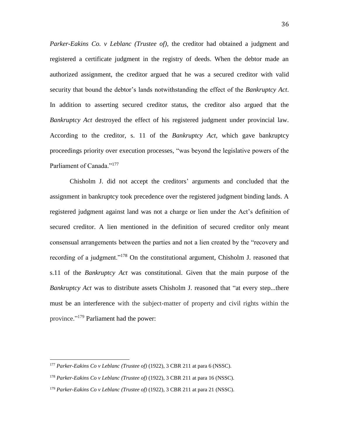*Parker-Eakins Co. v Leblanc (Trustee of),* the creditor had obtained a judgment and registered a certificate judgment in the registry of deeds. When the debtor made an authorized assignment, the creditor argued that he was a secured creditor with valid security that bound the debtor's lands notwithstanding the effect of the *Bankruptcy Act*. In addition to asserting secured creditor status, the creditor also argued that the *Bankruptcy Act* destroyed the effect of his registered judgment under provincial law. According to the creditor, s. 11 of the *Bankruptcy Act,* which gave bankruptcy proceedings priority over execution processes, "was beyond the legislative powers of the Parliament of Canada."<sup>177</sup>

Chisholm J. did not accept the creditors' arguments and concluded that the assignment in bankruptcy took precedence over the registered judgment binding lands. A registered judgment against land was not a charge or lien under the Act's definition of secured creditor. A lien mentioned in the definition of secured creditor only meant consensual arrangements between the parties and not a lien created by the "recovery and recording of a judgment."<sup>178</sup> On the constitutional argument, Chisholm J. reasoned that s.11 of the *Bankruptcy Act* was constitutional. Given that the main purpose of the *Bankruptcy Act* was to distribute assets Chisholm J. reasoned that "at every step...there must be an interference with the subject-matter of property and civil rights within the province."<sup>179</sup> Parliament had the power:

<sup>177</sup> *Parker-Eakins Co v Leblanc (Trustee of)* (1922), 3 CBR 211 at para 6 (NSSC).

<sup>178</sup> *Parker-Eakins Co v Leblanc (Trustee of)* (1922), 3 CBR 211 at para 16 (NSSC).

<sup>179</sup> *Parker-Eakins Co v Leblanc (Trustee of)* (1922), 3 CBR 211 at para 21 (NSSC).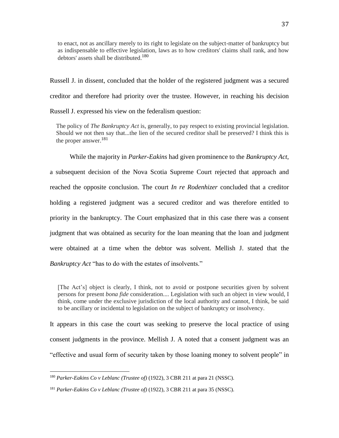to enact, not as ancillary merely to its right to legislate on the subject-matter of bankruptcy but as indispensable to effective legislation, laws as to how creditors' claims shall rank, and how debtors' assets shall be distributed.<sup>180</sup>

Russell J. in dissent, concluded that the holder of the registered judgment was a secured creditor and therefore had priority over the trustee. However, in reaching his decision Russell J. expressed his view on the federalism question:

The policy of *The Bankruptcy Act* is, generally, to pay respect to existing provincial legislation. Should we not then say that...the lien of the secured creditor shall be preserved? I think this is the proper answer.<sup>181</sup>

While the majority in *Parker-Eakins* had given prominence to the *Bankruptcy Act*, a subsequent decision of the Nova Scotia Supreme Court rejected that approach and reached the opposite conclusion. The court *In re Rodenhizer* concluded that a creditor holding a registered judgment was a secured creditor and was therefore entitled to priority in the bankruptcy. The Court emphasized that in this case there was a consent judgment that was obtained as security for the loan meaning that the loan and judgment were obtained at a time when the debtor was solvent. Mellish J. stated that the *Bankruptcy Act* "has to do with the estates of insolvents."

[The Act's] object is clearly, I think, not to avoid or postpone securities given by solvent persons for present *bona fide* consideration.... Legislation with such an object in view would, I think, come under the exclusive jurisdiction of the local authority and cannot, I think, be said to be ancillary or incidental to legislation on the subject of bankruptcy or insolvency.

It appears in this case the court was seeking to preserve the local practice of using consent judgments in the province. Mellish J. A noted that a consent judgment was an "effective and usual form of security taken by those loaning money to solvent people" in

<sup>180</sup> *Parker-Eakins Co v Leblanc (Trustee of)* (1922), 3 CBR 211 at para 21 (NSSC).

<sup>181</sup> *Parker-Eakins Co v Leblanc (Trustee of)* (1922), 3 CBR 211 at para 35 (NSSC).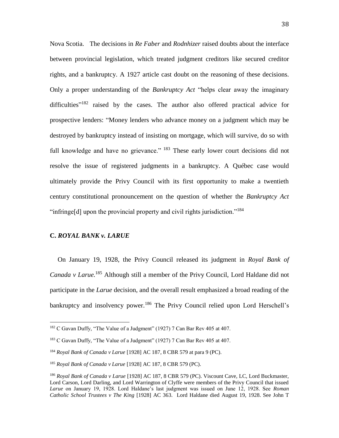Nova Scotia. The decisions in *Re Faber* and *Rodnhizer* raised doubts about the interface between provincial legislation, which treated judgment creditors like secured creditor rights, and a bankruptcy. A 1927 article cast doubt on the reasoning of these decisions. Only a proper understanding of the *Bankruptcy Act* "helps clear away the imaginary difficulties"<sup>182</sup> raised by the cases. The author also offered practical advice for prospective lenders: "Money lenders who advance money on a judgment which may be destroyed by bankruptcy instead of insisting on mortgage, which will survive, do so with full knowledge and have no grievance." <sup>183</sup> These early lower court decisions did not resolve the issue of registered judgments in a bankruptcy. A Québec case would ultimately provide the Privy Council with its first opportunity to make a twentieth century constitutional pronouncement on the question of whether the *Bankruptcy Act* "infringe[d] upon the provincial property and civil rights jurisdiction."<sup>184</sup>

#### **C.** *ROYAL BANK v. LARUE*

 $\overline{a}$ 

On January 19, 1928, the Privy Council released its judgment in *Royal Bank of Canada v Larue.* <sup>185</sup> Although still a member of the Privy Council, Lord Haldane did not participate in the *Larue* decision, and the overall result emphasized a broad reading of the bankruptcy and insolvency power.<sup>186</sup> The Privy Council relied upon Lord Herschell's

<sup>&</sup>lt;sup>182</sup> C Gavan Duffy, "The Value of a Judgment" (1927) 7 Can Bar Rev 405 at 407.

<sup>&</sup>lt;sup>183</sup> C Gavan Duffy, "The Value of a Judgment" (1927) 7 Can Bar Rev 405 at 407.

<sup>184</sup> *Royal Bank of Canada v Larue* [1928] AC 187, 8 CBR 579 at para 9 (PC).

<sup>185</sup> *Royal Bank of Canada v Larue* [1928] AC 187, 8 CBR 579 (PC).

<sup>186</sup> *Royal Bank of Canada v Larue* [1928] AC 187, 8 CBR 579 (PC). Viscount Cave, LC, Lord Buckmaster, Lord Carson, Lord Darling, and Lord Warrington of Clyffe were members of the Privy Council that issued *Larue* on January 19, 1928. Lord Haldane's last judgment was issued on June 12, 1928. See *Roman Catholic School Trustees v The King* [1928] AC 363. Lord Haldane died August 19, 1928. See John T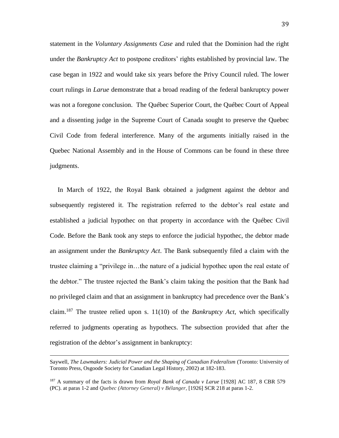statement in the *Voluntary Assignments Case* and ruled that the Dominion had the right under the *Bankruptcy Act* to postpone creditors' rights established by provincial law. The case began in 1922 and would take six years before the Privy Council ruled. The lower court rulings in *Larue* demonstrate that a broad reading of the federal bankruptcy power was not a foregone conclusion. The Québec Superior Court, the Québec Court of Appeal and a dissenting judge in the Supreme Court of Canada sought to preserve the Quebec Civil Code from federal interference. Many of the arguments initially raised in the Quebec National Assembly and in the House of Commons can be found in these three judgments.

In March of 1922, the Royal Bank obtained a judgment against the debtor and subsequently registered it. The registration referred to the debtor's real estate and established a judicial hypothec on that property in accordance with the Québec Civil Code. Before the Bank took any steps to enforce the judicial hypothec, the debtor made an assignment under the *Bankruptcy Act*. The Bank subsequently filed a claim with the trustee claiming a "privilege in…the nature of a judicial hypothec upon the real estate of the debtor." The trustee rejected the Bank's claim taking the position that the Bank had no privileged claim and that an assignment in bankruptcy had precedence over the Bank's claim.<sup>187</sup> The trustee relied upon s. 11(10) of the *Bankruptcy Act*, which specifically referred to judgments operating as hypothecs. The subsection provided that after the registration of the debtor's assignment in bankruptcy:

Saywell, *The Lawmakers: Judicial Power and the Shaping of Canadian Federalism* (Toronto: University of Toronto Press, Osgoode Society for Canadian Legal History, 2002) at 182-183.

<sup>187</sup> A summary of the facts is drawn from *Royal Bank of Canada v Larue* [1928] AC 187, 8 CBR 579 (PC). at paras 1-2 and *Quebec (Attorney General) v Bélanger*, [1926] SCR 218 at paras 1-2.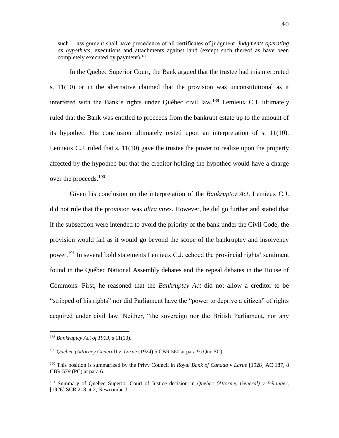such… assignment shall have precedence of all certificates of judgment, *judgments operating as hypothecs*, executions and attachments against land (except such thereof as have been completely executed by payment).<sup>188</sup>

In the Québec Superior Court, the Bank argued that the trustee had misinterpreted s. 11(10) or in the alternative claimed that the provision was unconstitutional as it interfered with the Bank's rights under Québec civil law.<sup>189</sup> Lemieux C.J. ultimately ruled that the Bank was entitled to proceeds from the bankrupt estate up to the amount of its hypothec. His conclusion ultimately rested upon an interpretation of s. 11(10). Lemieux C.J. ruled that s. 11(10) gave the trustee the power to realize upon the property affected by the hypothec but that the creditor holding the hypothec would have a charge over the proceeds.<sup>190</sup>

Given his conclusion on the interpretation of the *Bankruptcy Act*, Lemieux C.J. did not rule that the provision was *ultra vires*. However, he did go further and stated that if the subsection were intended to avoid the priority of the bank under the Civil Code, the provision would fail as it would go beyond the scope of the bankruptcy and insolvency power.<sup>191</sup> In several bold statements Lemieux C.J. echoed the provincial rights' sentiment found in the Québec National Assembly debates and the repeal debates in the House of Commons. First, he reasoned that the *Bankruptcy Act* did not allow a creditor to be "stripped of his rights" nor did Parliament have the "power to deprive a citizen" of rights acquired under civil law. Neither, "the sovereign nor the British Parliament, nor any

<sup>188</sup> *Bankruptcy Act of 1919*, s 11(10).

<sup>189</sup> *Quebec (Attorney General) v Larue* (1924) 5 CBR 560 at para 9 (Que SC).

<sup>190</sup> This position is summarized by the Privy Council in *Royal Bank of Canada v Larue* [1928] AC 187, 8 CBR 579 (PC) at para 6.

<sup>191</sup> Summary of Quebec Superior Court of Justice decision in *Quebec (Attorney General) v Bélanger*, [1926] SCR 218 at 2, Newcombe J.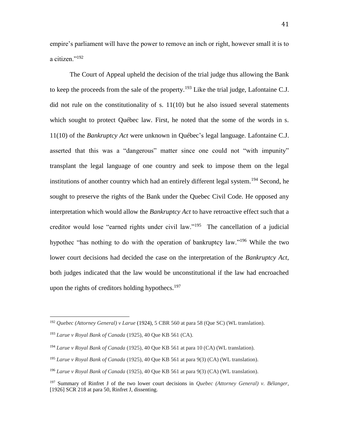empire's parliament will have the power to remove an inch or right, however small it is to a citizen."<sup>192</sup>

The Court of Appeal upheld the decision of the trial judge thus allowing the Bank to keep the proceeds from the sale of the property.<sup>193</sup> Like the trial judge, Lafontaine C.J. did not rule on the constitutionality of s. 11(10) but he also issued several statements which sought to protect Québec law. First, he noted that the some of the words in s. 11(10) of the *Bankruptcy Act* were unknown in Québec's legal language. Lafontaine C.J. asserted that this was a "dangerous" matter since one could not "with impunity" transplant the legal language of one country and seek to impose them on the legal institutions of another country which had an entirely different legal system.<sup>194</sup> Second, he sought to preserve the rights of the Bank under the Quebec Civil Code. He opposed any interpretation which would allow the *Bankruptcy Act* to have retroactive effect such that a creditor would lose "earned rights under civil law."<sup>195</sup> The cancellation of a judicial hypothec "has nothing to do with the operation of bankruptcy law."<sup>196</sup> While the two lower court decisions had decided the case on the interpretation of the *Bankruptcy Act*, both judges indicated that the law would be unconstitutional if the law had encroached upon the rights of creditors holding hypothecs. $197$ 

<sup>192</sup> *Quebec (Attorney General) v Larue* (1924), 5 CBR 560 at para 58 (Que SC) (WL translation).

<sup>193</sup> *Larue v Royal Bank of Canada* (1925), 40 Que KB 561 (CA).

<sup>194</sup> *Larue v Royal Bank of Canada* (1925), 40 Que KB 561 at para 10 (CA) (WL translation).

<sup>195</sup> *Larue v Royal Bank of Canada* (1925), 40 Que KB 561 at para 9(3) (CA) (WL translation).

<sup>196</sup> *Larue v Royal Bank of Canada* (1925), 40 Que KB 561 at para 9(3) (CA) (WL translation).

<sup>197</sup> Summary of Rinfret J of the two lower court decisions in *Quebec (Attorney General) v. Bélanger*, [1926] SCR 218 at para 50, Rinfret J, dissenting.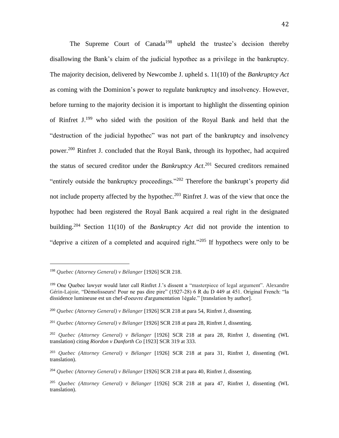The Supreme Court of Canada<sup>198</sup> upheld the trustee's decision thereby disallowing the Bank's claim of the judicial hypothec as a privilege in the bankruptcy. The majority decision, delivered by Newcombe J. upheld s. 11(10) of the *Bankruptcy Act* as coming with the Dominion's power to regulate bankruptcy and insolvency. However, before turning to the majority decision it is important to highlight the dissenting opinion of Rinfret J. <sup>199</sup> who sided with the position of the Royal Bank and held that the "destruction of the judicial hypothec" was not part of the bankruptcy and insolvency power.<sup>200</sup> Rinfret J. concluded that the Royal Bank, through its hypothec, had acquired the status of secured creditor under the *Bankruptcy Act*. <sup>201</sup> Secured creditors remained "entirely outside the bankruptcy proceedings."<sup>202</sup> Therefore the bankrupt's property did not include property affected by the hypothec.<sup>203</sup> Rinfret J. was of the view that once the hypothec had been registered the Royal Bank acquired a real right in the designated building.<sup>204</sup> Section 11(10) of the *Bankruptcy Act* did not provide the intention to "deprive a citizen of a completed and acquired right."<sup>205</sup> If hypothecs were only to be

<sup>198</sup> *Quebec (Attorney General) v Bélanger* [1926] SCR 218.

<sup>199</sup> One Quebec lawyer would later call Rinfret J.'s dissent a "masterpiece of legal argument". Alexandre Gérin-Lajoie, "Démolisseurs! Pour ne pas dire pire" (1927-28) 6 R du D 449 at 451. Original French: "la dissidence lumineuse est un chef-d'oeuvre d'argumentation 1égale." [translation by author].

<sup>200</sup> *Quebec (Attorney General) v Bélanger* [1926] SCR 218 at para 54, Rinfret J, dissenting.

<sup>201</sup> *Quebec (Attorney General) v Bélanger* [1926] SCR 218 at para 28, Rinfret J, dissenting.

<sup>202</sup> *Quebec (Attorney General) v Bélanger* [1926] SCR 218 at para 28, Rinfret J, dissenting (WL translation) citing *Riordon v Danforth Co* [1923] SCR 319 at 333.

<sup>203</sup> *Quebec (Attorney General) v Bélanger* [1926] SCR 218 at para 31, Rinfret J, dissenting (WL translation).

<sup>204</sup> *Quebec (Attorney General) v Bélanger* [1926] SCR 218 at para 40, Rinfret J, dissenting.

<sup>205</sup> *Quebec (Attorney General) v Bélanger* [1926] SCR 218 at para 47, Rinfret J, dissenting (WL translation).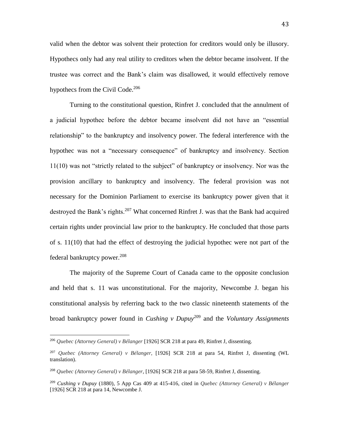valid when the debtor was solvent their protection for creditors would only be illusory. Hypothecs only had any real utility to creditors when the debtor became insolvent. If the trustee was correct and the Bank's claim was disallowed, it would effectively remove hypothecs from the Civil Code.<sup>206</sup>

Turning to the constitutional question, Rinfret J. concluded that the annulment of a judicial hypothec before the debtor became insolvent did not have an "essential relationship" to the bankruptcy and insolvency power. The federal interference with the hypothec was not a "necessary consequence" of bankruptcy and insolvency. Section 11(10) was not "strictly related to the subject" of bankruptcy or insolvency. Nor was the provision ancillary to bankruptcy and insolvency. The federal provision was not necessary for the Dominion Parliament to exercise its bankruptcy power given that it destroyed the Bank's rights.<sup>207</sup> What concerned Rinfret J. was that the Bank had acquired certain rights under provincial law prior to the bankruptcy. He concluded that those parts of s. 11(10) that had the effect of destroying the judicial hypothec were not part of the federal bankruptcy power. $208$ 

The majority of the Supreme Court of Canada came to the opposite conclusion and held that s. 11 was unconstitutional. For the majority, Newcombe J. began his constitutional analysis by referring back to the two classic nineteenth statements of the broad bankruptcy power found in *Cushing v Dupuy*<sup>209</sup> and the *Voluntary Assignments* 

<sup>206</sup> *Quebec (Attorney General) v Bélanger* [1926] SCR 218 at para 49, Rinfret J, dissenting.

<sup>207</sup> *Quebec (Attorney General) v Bélanger*, [1926] SCR 218 at para 54, Rinfret J, dissenting (WL translation).

<sup>208</sup> *Quebec (Attorney General) v Bélanger*, [1926] SCR 218 at para 58-59, Rinfret J, dissenting.

<sup>209</sup> *Cushing v Dupuy* (1880), 5 App Cas 409 at 415-416, cited in *Quebec (Attorney General) v Bélanger* [1926] SCR 218 at para 14, Newcombe J.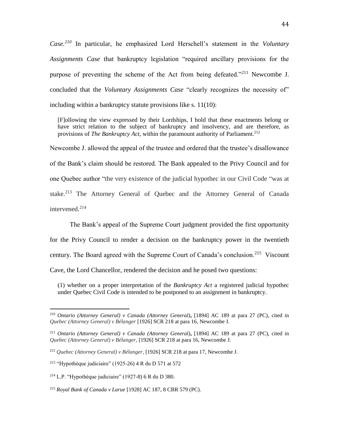*Case.<sup>210</sup>* In particular, he emphasized Lord Herschell's statement in the *Voluntary Assignments Case* that bankruptcy legislation "required ancillary provisions for the purpose of preventing the scheme of the Act from being defeated."<sup>211</sup> Newcombe J. concluded that the *Voluntary Assignments Case* "clearly recognizes the necessity of" including within a bankruptcy statute provisions like s. 11(10):

[F]ollowing the view expressed by their Lordships, I hold that these enactments belong or have strict relation to the subject of bankruptcy and insolvency, and are therefore, as provisions of *The Bankruptcy Act*, within the paramount authority of Parliament.<sup>212</sup>

Newcombe J. allowed the appeal of the trustee and ordered that the trustee's disallowance of the Bank's claim should be restored. The Bank appealed to the Privy Council and for one Quebec author "the very existence of the judicial hypothec in our Civil Code "was at stake.<sup>213</sup> The Attorney General of Quebec and the Attorney General of Canada intervened.<sup>214</sup>

The Bank's appeal of the Supreme Court judgment provided the first opportunity for the Privy Council to render a decision on the bankruptcy power in the twentieth century. The Board agreed with the Supreme Court of Canada's conclusion.<sup>215</sup> Viscount Cave, the Lord Chancellor, rendered the decision and he posed two questions:

(1) whether on a proper interpretation of the *Bankruptcy Act* a registered judicial hypothec under Quebec Civil Code is intended to be postponed to an assignment in bankruptcy.

<sup>210</sup> *Ontario (Attorney General) v Canada (Attorney General)***,** [1894] AC 189 at para 27 (PC), cited in *Quebec (Attorney General) v Bélanger* [1926] SCR 218 at para 16, Newcombe J.

<sup>211</sup> *Ontario (Attorney General) v Canada (Attorney General)***,** [1894] AC 189 at para 27 (PC), cited in *Quebec (Attorney General) v Bélanger*, [1926] SCR 218 at para 16, Newcombe J.

<sup>212</sup> *Quebec (Attorney General) v Bélanger*, [1926] SCR 218 at para 17, Newcombe J.

<sup>213</sup> "Hypothèque judiciaire" (1925-26) 4 R du D 571 at 572

<sup>&</sup>lt;sup>214</sup> L.P. "Hypothèque judiciaire" (1927-8) 6 R du D 380.

<sup>215</sup> *Royal Bank of Canada v Larue* [1928] AC 187, 8 CBR 579 (PC).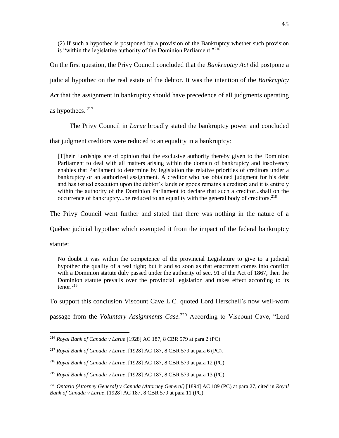(2) If such a hypothec is postponed by a provision of the Bankruptcy whether such provision is "within the legislative authority of the Dominion Parliament."<sup>216</sup>

On the first question, the Privy Council concluded that the *Bankruptcy Act* did postpone a judicial hypothec on the real estate of the debtor. It was the intention of the *Bankruptcy Act* that the assignment in bankruptcy should have precedence of all judgments operating

as hypothecs.  $217$ 

The Privy Council in *Larue* broadly stated the bankruptcy power and concluded

that judgment creditors were reduced to an equality in a bankruptcy:

[T]heir Lordships are of opinion that the exclusive authority thereby given to the Dominion Parliament to deal with all matters arising within the domain of bankruptcy and insolvency enables that Parliament to determine by legislation the relative priorities of creditors under a bankruptcy or an authorized assignment. A creditor who has obtained judgment for his debt and has issued execution upon the debtor's lands or goods remains a creditor; and it is entirely within the authority of the Dominion Parliament to declare that such a creditor...shall on the occurrence of bankruptcy...be reduced to an equality with the general body of creditors.<sup>218</sup>

The Privy Council went further and stated that there was nothing in the nature of a

Québec judicial hypothec which exempted it from the impact of the federal bankruptcy

statute:

 $\overline{a}$ 

No doubt it was within the competence of the provincial Legislature to give to a judicial hypothec the quality of a real right; but if and so soon as that enactment comes into conflict with a Dominion statute duly passed under the authority of sec. 91 of the Act of 1867, then the Dominion statute prevails over the provincial legislation and takes effect according to its tenor.<sup>219</sup>

To support this conclusion Viscount Cave L.C. quoted Lord Herschell's now well-worn

passage from the *Voluntary Assignments Case.*<sup>220</sup> According to Viscount Cave, "Lord

<sup>216</sup> *Royal Bank of Canada v Larue* [1928] AC 187, 8 CBR 579 at para 2 (PC).

<sup>217</sup> *Royal Bank of Canada v Larue*, [1928] AC 187, 8 CBR 579 at para 6 (PC).

<sup>218</sup> *Royal Bank of Canada v Larue,* [1928] AC 187, 8 CBR 579 at para 12 (PC).

<sup>219</sup> *Royal Bank of Canada v Larue*, [1928] AC 187, 8 CBR 579 at para 13 (PC).

<sup>220</sup> *Ontario (Attorney General) v Canada (Attorney General)* [1894] AC 189 (PC) at para 27, cited in *Royal Bank of Canada v Larue,* [1928] AC 187, 8 CBR 579 at para 11 (PC).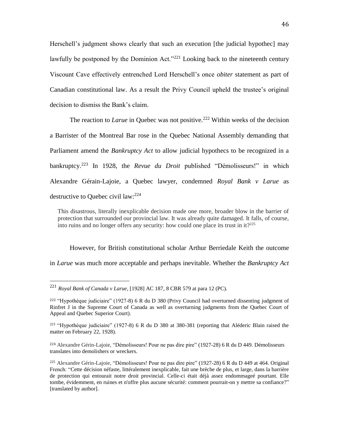Herschell's judgment shows clearly that such an execution [the judicial hypothec] may lawfully be postponed by the Dominion Act."<sup>221</sup> Looking back to the nineteenth century Viscount Cave effectively entrenched Lord Herschell's once *obiter* statement as part of Canadian constitutional law. As a result the Privy Council upheld the trustee's original decision to dismiss the Bank's claim.

The reaction to *Larue* in Quebec was not positive.<sup>222</sup> Within weeks of the decision a Barrister of the Montreal Bar rose in the Quebec National Assembly demanding that Parliament amend the *Bankruptcy Act* to allow judicial hypothecs to be recognized in a bankruptcy.<sup>223</sup> In 1928, the *Revue du Droit* published "Démolisseurs!" in which Alexandre Gérain-Lajoie, a Quebec lawyer, condemned *Royal Bank v Larue* as destructive to Quebec civil law:<sup>224</sup>

This disastrous, literally inexplicable decision made one more, broader blow in the barrier of protection that surrounded our provincial law. It was already quite damaged. It falls, of course, into ruins and no longer offers any security: how could one place its trust in it?<sup>225</sup>

However, for British constitutional scholar Arthur Berriedale Keith the outcome in *Larue* was much more acceptable and perhaps inevitable. Whether the *Bankruptcy Act* 

<sup>221</sup> *Royal Bank of Canada v Larue,* [1928] AC 187, 8 CBR 579 at para 12 (PC).

<sup>222</sup> "Hypothèque judiciaire" (1927-8) 6 R du D 380 (Privy Council had overturned dissenting judgment of Rinfret J in the Supreme Court of Canada as well as overturning judgments from the Quebec Court of Appeal and Quebec Superior Court).

<sup>223</sup> "Hypothèque judiciaire" (1927-8) 6 R du D 380 at 380-381 (reporting that Aléderic Blain raised the matter on February 22, 1928).

<sup>224</sup> Alexandre Gérin-Lajoie, "Démolisseurs! Pour ne pas dire pire" (1927-28) 6 R du D 449. Démolisseurs translates into demolishers or wreckers.

<sup>225</sup> Alexandre Gérin-Lajoie, "Démolisseurs! Pour ne pas dire pire" (1927-28) 6 R du D 449 at 464. Original French: "Cette décision néfaste, littéralement inexplicable, fait une brèche de plus, et large, dans la barrière de protection qui entourait notre droit provincial. Celle-ci était déjà assez endommageé pourtant. Elle tombe, évidemment, en ruines et n'offre plus aucune sécurité: comment pourrait-on y mettre sa confiance?" [translated by author].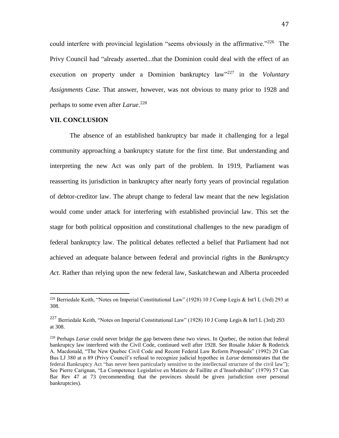could interfere with provincial legislation "seems obviously in the affirmative."<sup>226</sup> The Privy Council had "already asserted...that the Dominion could deal with the effect of an execution on property under a Dominion bankruptcy law<sup>1227</sup> in the *Voluntary Assignments Case.* That answer, however, was not obvious to many prior to 1928 and perhaps to some even after *Larue*. 228

#### **VII. CONCLUSION**

 $\overline{a}$ 

The absence of an established bankruptcy bar made it challenging for a legal community approaching a bankruptcy statute for the first time. But understanding and interpreting the new Act was only part of the problem. In 1919, Parliament was reasserting its jurisdiction in bankruptcy after nearly forty years of provincial regulation of debtor-creditor law. The abrupt change to federal law meant that the new legislation would come under attack for interfering with established provincial law. This set the stage for both political opposition and constitutional challenges to the new paradigm of federal bankruptcy law. The political debates reflected a belief that Parliament had not achieved an adequate balance between federal and provincial rights in the *Bankruptcy Act*. Rather than relying upon the new federal law, Saskatchewan and Alberta proceeded

<sup>&</sup>lt;sup>226</sup> Berriedale Keith, "Notes on Imperial Constitutional Law" (1928) 10 J Comp Legis & Int'l L (3rd) 293 at 308.

<sup>227</sup> Berriedale Keith, "Notes on Imperial Constitutional Law" (1928) 10 J Comp Legis & Int'l L (3rd) 293 at 308.

<sup>228</sup> Perhaps *Larue* could never bridge the gap between these two views. In Quebec, the notion that federal bankruptcy law interfered with the Civil Code, continued well after 1928. See Rosalie Jukier & Roderick A. Macdonald, "The New Quebec Civil Code and Recent Federal Law Reform Proposals" (1992) 20 Can Bus LJ 380 at n 89 (Privy Council's refusal to recognize judicial hypothec in *Larue* demonstrates that the federal Bankruptcy Act "has never been particularly sensitive to the intellectual structure of the civil law"); See Pierre Carignan, "La Competence Legislative en Matiere de Faillite et d'Insolvabilite" (1979) 57 Can Bar Rev 47 at 73 (recommending that the provinces should be given jurisdiction over personal bankruptcies).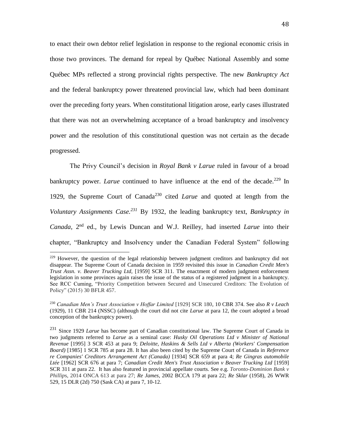to enact their own debtor relief legislation in response to the regional economic crisis in those two provinces. The demand for repeal by Québec National Assembly and some Québec MPs reflected a strong provincial rights perspective. The new *Bankruptcy Act* and the federal bankruptcy power threatened provincial law, which had been dominant over the preceding forty years. When constitutional litigation arose, early cases illustrated that there was not an overwhelming acceptance of a broad bankruptcy and insolvency power and the resolution of this constitutional question was not certain as the decade progressed.

The Privy Council's decision in *Royal Bank v Larue* ruled in favour of a broad bankruptcy power. *Larue* continued to have influence at the end of the decade.<sup>229</sup> In 1929, the Supreme Court of Canada<sup>230</sup> cited *Larue* and quoted at length from the *Voluntary Assignments Case.<sup>231</sup>* By 1932, the leading bankruptcy text, *Bankruptcy in*  Canada, 2<sup>nd</sup> ed., by Lewis Duncan and W.J. Reilley, had inserted *Larue* into their chapter, "Bankruptcy and Insolvency under the Canadian Federal System" following

<sup>&</sup>lt;sup>229</sup> However, the question of the legal relationship between judgment creditors and bankruptcy did not disappear. The Supreme Court of Canada decision in 1959 revisited this issue in *Canadian Credit Men's Trust Assn. v. Beaver Trucking Ltd,* [1959] SCR 311. The enactment of modern judgment enforcement legislation in some provinces again raises the issue of the status of a registered judgment in a bankruptcy. See RCC Cuming, "Priority Competition between Secured and Unsecured Creditors: The Evolution of Policy" (2015) 30 BFLR 457.

<sup>230</sup> *Canadian Men's Trust Association v Hoffar Limited* [1929] SCR 180, 10 CBR 374. See also *R v Leach* (1929), 11 CBR 214 (NSSC) (although the court did not cite *Larue* at para 12, the court adopted a broad conception of the bankruptcy power).

<sup>231</sup> Since 1929 *Larue* has become part of Canadian constitutional law. The Supreme Court of Canada in two judgments referred to *Larue* as a seminal case: *Husky Oil Operations Ltd v Minister of National Revenue* [1995] 3 SCR 453 at para 9; *Deloitte, Haskins & Sells Ltd v Alberta (Workers' Compensation Board)* [1985] 1 SCR 785 at para 28. It has also been cited by the Supreme Court of Canada in *Reference re Companies' Creditors Arrangement Act (Canada)* [1934] SCR 659 at para 4; *Re Gingras automobile Ltée* [1962] SCR 676 at para 7; *Canadian Credit Men's Trust Association v Beaver Trucking Ltd* [1959] SCR 311 at para 22. It has also featured in provincial appellate courts. See e.g. *Toronto-Dominion Bank v Phillip*s, 2014 ONCA 613 at para 27; *Re James*, 2002 BCCA 179 at para 22; *Re Sklar* (1958), 26 WWR 529, 15 DLR (2d) 750 (Sask CA) at para 7, 10-12.